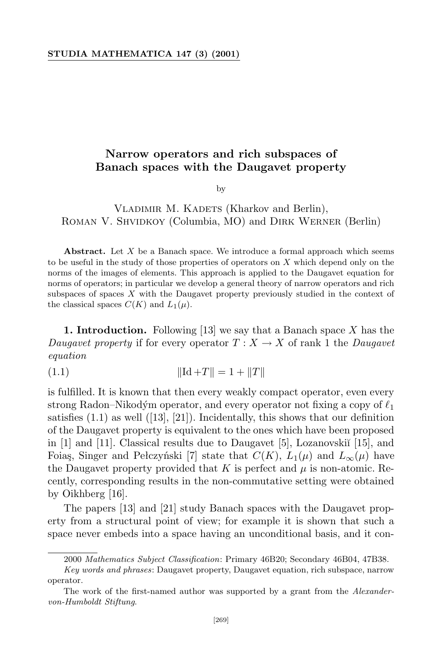## **STUDIA MATHEMATICA 147 (3) (2001)**

## **Narrow operators and rich subspaces of Banach spaces with the Daugavet property**

by

## VLADIMIR M. KADETS (Kharkov and Berlin), ROMAN V. SHVIDKOY (Columbia, MO) and DIRK WERNER (Berlin)

**Abstract.** Let *X* be a Banach space. We introduce a formal approach which seems to be useful in the study of those properties of operators on *X* which depend only on the norms of the images of elements. This approach is applied to the Daugavet equation for norms of operators; in particular we develop a general theory of narrow operators and rich subspaces of spaces *X* with the Daugavet property previously studied in the context of the classical spaces  $C(K)$  and  $L_1(\mu)$ .

**1. Introduction.** Following [13] we say that a Banach space *X* has the *Daugavet* property if for every operator  $T: X \to X$  of rank 1 the *Daugavet equation*

$$
||\mathrm{Id} + T|| = 1 + ||T||
$$

is fulfilled. It is known that then every weakly compact operator, even every strong Radon–Nikodým operator, and every operator not fixing a copy of  $\ell_1$ satisfies  $(1.1)$  as well  $(13, 21)$ . Incidentally, this shows that our definition of the Daugavet property is equivalent to the ones which have been proposed in  $[1]$  and  $[11]$ . Classical results due to Daugavet  $[5]$ , Lozanovski $[15]$ , and Foiaş, Singer and Pełczyński [7] state that  $C(K)$ ,  $L_1(\mu)$  and  $L_\infty(\mu)$  have the Daugavet property provided that  $K$  is perfect and  $\mu$  is non-atomic. Recently, corresponding results in the non-commutative setting were obtained by Oikhberg [16].

The papers [13] and [21] study Banach spaces with the Daugavet property from a structural point of view; for example it is shown that such a space never embeds into a space having an unconditional basis, and it con-

<sup>2000</sup> *Mathematics Subject Classification*: Primary 46B20; Secondary 46B04, 47B38.

*Key words and phrases*: Daugavet property, Daugavet equation, rich subspace, narrow operator.

The work of the first-named author was supported by a grant from the *Alexandervon-Humboldt Stiftung*.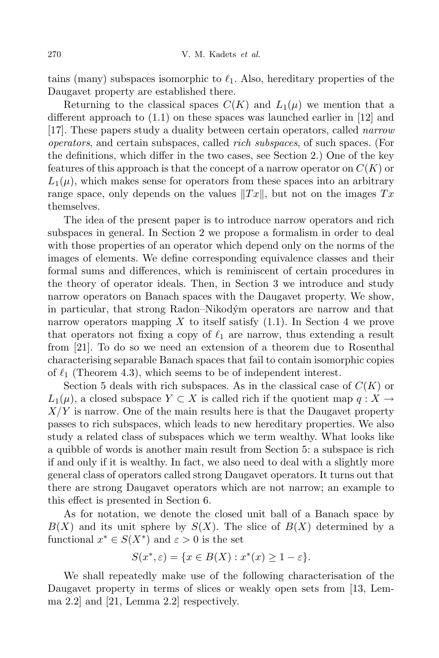tains (many) subspaces isomorphic to  $\ell_1$ . Also, hereditary properties of the Daugavet property are established there.

Returning to the classical spaces  $C(K)$  and  $L_1(\mu)$  we mention that a different approach to (1.1) on these spaces was launched earlier in [12] and [17]. These papers study a duality between certain operators, called *narrow operators*, and certain subspaces, called *rich subspaces*, of such spaces. (For the definitions, which differ in the two cases, see Section 2.) One of the key features of this approach is that the concept of a narrow operator on *C*(*K*) or  $L_1(\mu)$ , which makes sense for operators from these spaces into an arbitrary range space, only depends on the values  $||Tx||$ , but not on the images  $Tx$ themselves.

The idea of the present paper is to introduce narrow operators and rich subspaces in general. In Section 2 we propose a formalism in order to deal with those properties of an operator which depend only on the norms of the images of elements. We define corresponding equivalence classes and their formal sums and differences, which is reminiscent of certain procedures in the theory of operator ideals. Then, in Section 3 we introduce and study narrow operators on Banach spaces with the Daugavet property. We show, in particular, that strong Radon–Nikodym´ operators are narrow and that narrow operators mapping *X* to itself satisfy (1.1). In Section 4 we prove that operators not fixing a copy of  $\ell_1$  are narrow, thus extending a result from [21]. To do so we need an extension of a theorem due to Rosenthal characterising separable Banach spaces that fail to contain isomorphic copies of  $\ell_1$  (Theorem 4.3), which seems to be of independent interest.

Section 5 deals with rich subspaces. As in the classical case of *C*(*K*) or  $L_1(\mu)$ , a closed subspace  $Y \subset X$  is called rich if the quotient map  $q: X \to Y$ *X/Y* is narrow. One of the main results here is that the Daugavet property passes to rich subspaces, which leads to new hereditary properties. We also study a related class of subspaces which we term wealthy. What looks like a quibble of words is another main result from Section 5: a subspace is rich if and only if it is wealthy. In fact, we also need to deal with a slightly more general class of operators called strong Daugavet operators. It turns out that there are strong Daugavet operators which are not narrow; an example to this effect is presented in Section 6.

As for notation, we denote the closed unit ball of a Banach space by  $B(X)$  and its unit sphere by  $S(X)$ . The slice of  $B(X)$  determined by a functional  $x^* \in S(X^*)$  and  $\varepsilon > 0$  is the set

$$
S(x^*, \varepsilon) = \{ x \in B(X) : x^*(x) \ge 1 - \varepsilon \}.
$$

We shall repeatedly make use of the following characterisation of the Daugavet property in terms of slices or weakly open sets from [13, Lemma 2.2] and [21, Lemma 2.2] respectively.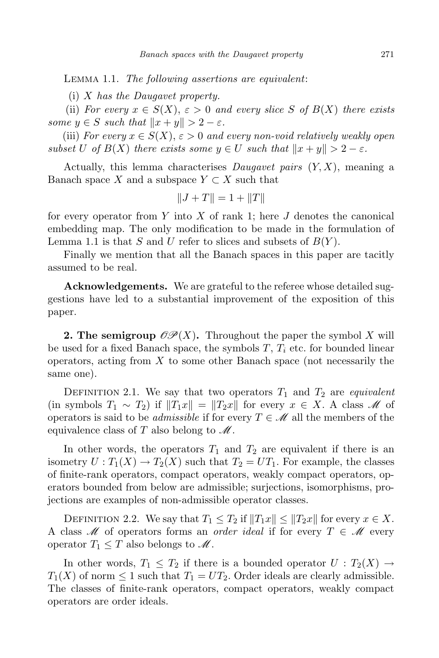Lemma 1.1. *The following assertions are equivalent*:

(i) *X has the Daugavet property.*

(ii) *For every*  $x \in S(X)$ ,  $\varepsilon > 0$  *and every slice S of*  $B(X)$  *there exists some*  $y \in S$  *such that*  $||x + y|| > 2 - \varepsilon$ *.* 

(iii) *For every*  $x \in S(X)$ ,  $\varepsilon > 0$  *and every non-void relatively weakly open subset U of*  $B(X)$  *there exists some*  $y \in U$  *such that*  $||x + y|| > 2 - \varepsilon$ *.* 

Actually, this lemma characterises *Daugavet pairs* (*Y, X*), meaning a Banach space *X* and a subspace  $Y \subset X$  such that

$$
||J + T|| = 1 + ||T||
$$

for every operator from *Y* into *X* of rank 1; here *J* denotes the canonical embedding map. The only modification to be made in the formulation of Lemma 1.1 is that *S* and *U* refer to slices and subsets of *B*(*Y* ).

Finally we mention that all the Banach spaces in this paper are tacitly assumed to be real.

**Acknowledgements.** We are grateful to the referee whose detailed suggestions have led to a substantial improvement of the exposition of this paper.

**2. The semigroup**  $\mathcal{OP}(X)$ . Throughout the paper the symbol *X* will be used for a fixed Banach space, the symbols *T*, *T<sup>i</sup>* etc. for bounded linear operators, acting from *X* to some other Banach space (not necessarily the same one).

DEFINITION 2.1. We say that two operators  $T_1$  and  $T_2$  are *equivalent*  $(\text{in symbols } T_1 \sim T_2) \text{ if } ||T_1x|| = ||T_2x|| \text{ for every } x \in X. \text{ A class } M \text{ of } T_1$ operators is said to be *admissible* if for every  $T \in M$  all the members of the equivalence class of  $T$  also belong to  $\mathscr{M}$ .

In other words, the operators  $T_1$  and  $T_2$  are equivalent if there is an isometry  $U: T_1(X) \to T_2(X)$  such that  $T_2 = UT_1$ . For example, the classes of finite-rank operators, compact operators, weakly compact operators, operators bounded from below are admissible; surjections, isomorphisms, projections are examples of non-admissible operator classes.

DEFINITION 2.2. We say that  $T_1 \leq T_2$  if  $||T_1x|| \leq ||T_2x||$  for every  $x \in X$ . A class M of operators forms an *order ideal* if for every  $T \in M$  every operator  $T_1 \leq T$  also belongs to  $\mathscr{M}$ .

In other words,  $T_1 \leq T_2$  if there is a bounded operator  $U: T_2(X) \to$  $T_1(X)$  of norm  $\leq 1$  such that  $T_1 = UT_2$ . Order ideals are clearly admissible. The classes of finite-rank operators, compact operators, weakly compact operators are order ideals.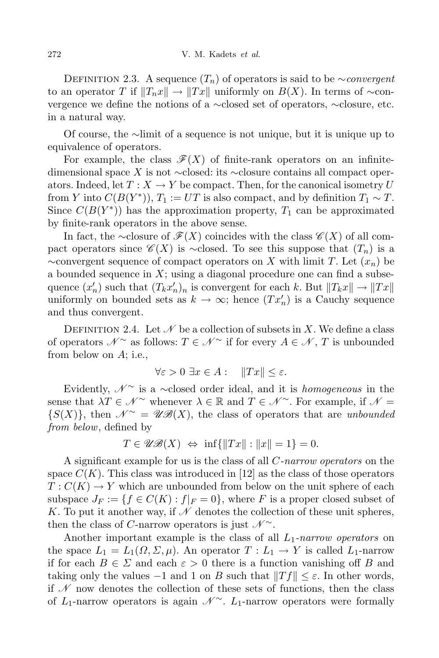DEFINITION 2.3. A sequence  $(T_n)$  of operators is said to be *∼convergent* to an operator *T* if  $||T_n x|| \to ||Tx||$  uniformly on  $B(X)$ . In terms of  $\sim$ convergence we define the notions of a *∼*closed set of operators, *∼*closure, etc. in a natural way.

Of course, the *∼*limit of a sequence is not unique, but it is unique up to equivalence of operators.

For example, the class  $\mathscr{F}(X)$  of finite-rank operators on an infinitedimensional space *X* is not *∼*closed: its *∼*closure contains all compact operators. Indeed, let  $T: X \to Y$  be compact. Then, for the canonical isometry U from *Y* into  $C(B(Y^*))$ ,  $T_1 := UT$  is also compact, and by definition  $T_1 \sim T$ . Since  $C(B(Y^*))$  has the approximation property,  $T_1$  can be approximated by finite-rank operators in the above sense.

In fact, the ∼closure of  $\mathscr{F}(X)$  coincides with the class  $\mathscr{C}(X)$  of all compact operators since  $\mathscr{C}(X)$  is  $\sim$ closed. To see this suppose that  $(T_n)$  is a *∼*convergent sequence of compact operators on *X* with limit *T*. Let (*xn*) be a bounded sequence in *X*; using a diagonal procedure one can find a subsequence  $(x'_n)$  such that  $(T_k x'_n)_n$  is convergent for each *k*. But  $||T_k x|| \to ||Tx||$ uniformly on bounded sets as  $k \to \infty$ ; hence  $(Tx'_n)$  is a Cauchy sequence and thus convergent.

DEFINITION 2.4. Let  $\mathcal N$  be a collection of subsets in X. We define a class of operators  $N^{\sim}$  as follows:  $T \in \mathcal{N}^{\sim}$  if for every  $A \in \mathcal{N}$ ,  $T$  is unbounded from below on *A*; i.e.,

$$
\forall \varepsilon > 0 \; \exists x \in A : \quad \|Tx\| \le \varepsilon.
$$

Evidently, N *<sup>∼</sup>* is a *∼*closed order ideal, and it is *homogeneous* in the sense that  $\lambda T \in \mathcal{N}$ <sup>~</sup> whenever  $\lambda \in \mathbb{R}$  and  $T \in \mathcal{N}$ <sup>~</sup>. For example, if  $\mathcal{N} =$  ${S(X)}$ , then  $\mathscr{N}^{\sim} = \mathscr{UB}(X)$ , the class of operators that are *unbounded from below*, defined by

$$
T \in \mathscr{UB}(X) \iff \inf\{\|Tx\| : \|x\| = 1\} = 0.
$$

A significant example for us is the class of all *C-narrow operators* on the space  $C(K)$ . This class was introduced in [12] as the class of those operators  $T: C(K) \to Y$  which are unbounded from below on the unit sphere of each subspace  $J_F := \{f \in C(K) : f|_F = 0\}$ , where F is a proper closed subset of K. To put it another way, if  $\mathcal N$  denotes the collection of these unit spheres, then the class of *C*-narrow operators is just  $\mathcal{N}^{\sim}$ .

Another important example is the class of all *L*1*-narrow operators* on the space  $L_1 = L_1(\Omega, \Sigma, \mu)$ . An operator  $T: L_1 \to Y$  is called  $L_1$ -narrow if for each  $B \in \Sigma$  and each  $\varepsilon > 0$  there is a function vanishing off *B* and taking only the values  $-1$  and 1 on *B* such that  $||Tf|| ≤ ε$ . In other words, if  $\mathscr N$  now denotes the collection of these sets of functions, then the class of *L*1-narrow operators is again N *<sup>∼</sup>*. *L*1-narrow operators were formally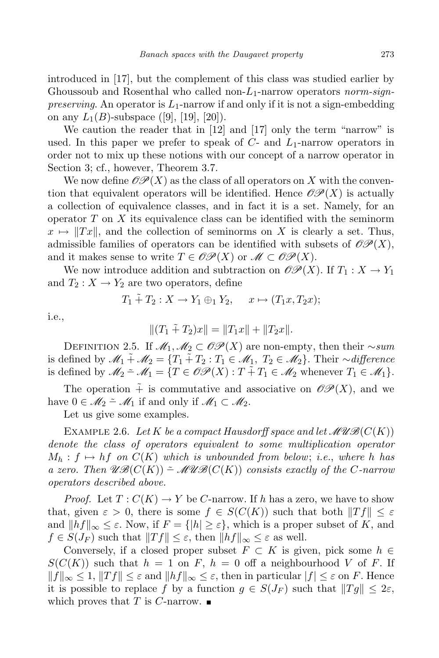introduced in [17], but the complement of this class was studied earlier by Ghoussoub and Rosenthal who called non-*L*1-narrow operators *norm-signpreserving*. An operator is *L*1-narrow if and only if it is not a sign-embedding on any  $L_1(B)$ -subspace ([9], [19], [20]).

We caution the reader that in [12] and [17] only the term "narrow" is used. In this paper we prefer to speak of *C*- and *L*1-narrow operators in order not to mix up these notions with our concept of a narrow operator in Section 3; cf., however, Theorem 3.7.

We now define  $\mathcal{OP}(X)$  as the class of all operators on X with the convention that equivalent operators will be identified. Hence  $\mathscr{O}\mathscr{P}(X)$  is actually a collection of equivalence classes, and in fact it is a set. Namely, for an operator *T* on *X* its equivalence class can be identified with the seminorm  $x \mapsto \|Tx\|$ , and the collection of seminorms on X is clearly a set. Thus, admissible families of operators can be identified with subsets of  $\mathcal{OP}(X)$ , and it makes sense to write  $T \in \mathcal{OP}(X)$  or  $\mathcal{M} \subset \mathcal{OP}(X)$ .

We now introduce addition and subtraction on  $\mathcal{OP}(X)$ . If  $T_1: X \to Y_1$ and  $T_2: X \to Y_2$  are two operators, define

$$
T_1 \tilde{+} T_2 : X \to Y_1 \oplus_1 Y_2, \quad x \mapsto (T_1 x, T_2 x);
$$

i.e.,

$$
||(T_1 \tilde{+} T_2)x|| = ||T_1x|| + ||T_2x||.
$$

DEFINITION 2.5. If  $\mathcal{M}_1, \mathcal{M}_2 \subset \mathcal{OP}(X)$  are non-empty, then their  $\sim$ *sum* is defined by  $\mathcal{M}_1 \tilde{+} \mathcal{M}_2 = \{T_1 \tilde{+} T_2 : T_1 \in \mathcal{M}_1, T_2 \in \mathcal{M}_2\}$ . Their  $\sim$ *difference* is defined by  $\mathcal{M}_2 \cong \mathcal{M}_1 = \{T \in \mathcal{OP}(X) : T \times T_1 \in \mathcal{M}_2 \text{ whenever } T_1 \in \mathcal{M}_1\}.$ 

The operation  $\tilde{+}$  is commutative and associative on  $\mathscr{OP}(X)$ , and we have  $0 \in M_2$   $\tilde{=} M_1$  if and only if  $M_1 \subset M_2$ .

Let us give some examples.

EXAMPLE 2.6. Let K be a compact Hausdorff space and let  $\mathcal{MUB}(C(K))$ *denote the class of operators equivalent to some multiplication operator*  $M_h: f \mapsto hf$  *on*  $C(K)$  *which is unbounded from below*; *i.e.*, *where h has*  $a$  *zero.* Then  $\mathscr{UB}(C(K))$  =  $\mathscr{MUB}(C(K))$  consists exactly of the C-narrow *operators described above.*

*Proof.* Let  $T: C(K) \to Y$  be *C*-narrow. If *h* has a zero, we have to show that, given  $\varepsilon > 0$ , there is some  $f \in S(C(K))$  such that both  $||Tf|| \leq \varepsilon$ and  $||hf||_{\infty} \leq \varepsilon$ . Now, if  $F = { |h| \geq \varepsilon }$ , which is a proper subset of *K*, and  $f \in S(J_F)$  such that  $||Tf|| \leq \varepsilon$ , then  $||hf||_{\infty} \leq \varepsilon$  as well.

Conversely, if a closed proper subset  $F \subset K$  is given, pick some  $h \in$  $S(C(K))$  such that  $h = 1$  on  $F$ ,  $h = 0$  off a neighbourhood  $V$  of  $F$ . If  $||f||_{\infty} \leq 1, ||Tf|| \leq \varepsilon$  and  $||hf||_{\infty} \leq \varepsilon$ , then in particular  $|f| \leq \varepsilon$  on F. Hence it is possible to replace f by a function  $g \in S(J_F)$  such that  $||Tg|| \leq 2\varepsilon$ , which proves that *T* is *C*-narrow.  $\blacksquare$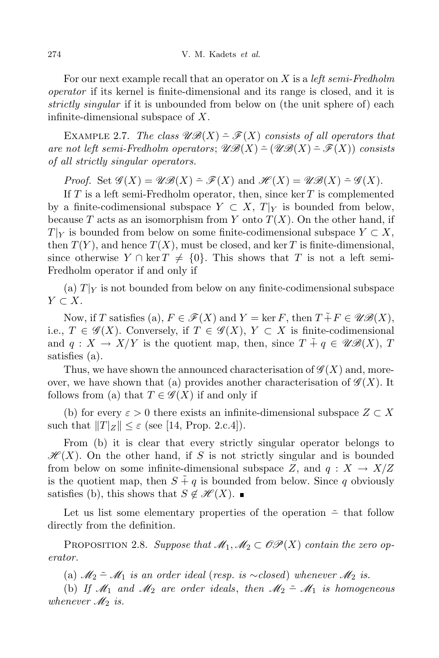For our next example recall that an operator on *X* is a *left semi-Fredholm operator* if its kernel is finite-dimensional and its range is closed, and it is *strictly singular* if it is unbounded from below on (the unit sphere of) each infinite-dimensional subspace of *X*.

EXAMPLE 2.7. *The class*  $\mathscr{UB}(X) \cong \mathscr{F}(X)$  *consists of all operators that*  $\mathscr{A}$  *are not left semi-Fredholm operators*;  $\mathscr{B}(\mathscr{B}(X) \cong (\mathscr{B}(\mathscr{X})) \cong \mathscr{F}(X)$  *consists of all strictly singular operators.*

*Proof.* Set  $\mathscr{G}(X) = \mathscr{UB}(X) \cong \mathscr{F}(X)$  and  $\mathscr{H}(X) = \mathscr{UB}(X) \cong \mathscr{G}(X)$ .

If *T* is a left semi-Fredholm operator, then, since ker *T* is complemented by a finite-codimensional subspace  $Y \subset X$ ,  $T|_Y$  is bounded from below, because *T* acts as an isomorphism from *Y* onto  $T(X)$ . On the other hand, if  $T|_Y$  is bounded from below on some finite-codimensional subspace  $Y \subset X$ , then  $T(Y)$ , and hence  $T(X)$ , must be closed, and ker *T* is finite-dimensional, since otherwise  $Y \cap \text{ker } T \neq \{0\}$ . This shows that *T* is not a left semi-Fredholm operator if and only if

(a)  $T|_Y$  is not bounded from below on any finite-codimensional subspace *Y ⊂ X*.

Now, if *T* satisfies (a),  $F \in \mathscr{F}(X)$  and  $Y = \ker F$ , then  $T \tilde{+} F \in \mathscr{UB}(X)$ , i.e.,  $T \in \mathscr{G}(X)$ . Conversely, if  $T \in \mathscr{G}(X)$ ,  $Y \subset X$  is finite-codimensional and  $q: X \to X/Y$  is the quotient map, then, since  $T \tildot{+} q \in \mathscr{UB}(X)$ , *T* satisfies (a).

Thus, we have shown the announced characterisation of  $\mathscr{G}(X)$  and, moreover, we have shown that (a) provides another characterisation of  $\mathscr{G}(X)$ . It follows from (a) that  $T \in \mathscr{G}(X)$  if and only if

(b) for every  $\varepsilon > 0$  there exists an infinite-dimensional subspace  $Z \subset X$ such that  $||T||_Z|| \leq \varepsilon$  (see [14, Prop. 2.c.4]).

From (b) it is clear that every strictly singular operator belongs to  $\mathscr{H}(X)$ . On the other hand, if *S* is not strictly singular and is bounded from below on some infinite-dimensional subspace  $Z$ , and  $q: X \to X/Z$ is the quotient map, then  $S + q$  is bounded from below. Since q obviously satisfies (b), this shows that  $S \notin \mathcal{H}(X)$ . ■

Let us list some elementary properties of the operation *−*˜ that follow directly from the definition.

PROPOSITION 2.8. Suppose that  $\mathcal{M}_1, \mathcal{M}_2 \subset \mathcal{OP}(X)$  contain the zero op*erator.*

(a)  $M_2$   $\tilde{=}$   $M_1$  *is an order ideal* (*resp. is*  $\sim$ *closed*) *whenever*  $M_2$  *is.* 

(b) If  $\mathcal{M}_1$  and  $\mathcal{M}_2$  are order *ideals*, then  $\mathcal{M}_2 \cong \mathcal{M}_1$  *is* homogeneous *whenever*  $\mathcal{M}_2$  *is.*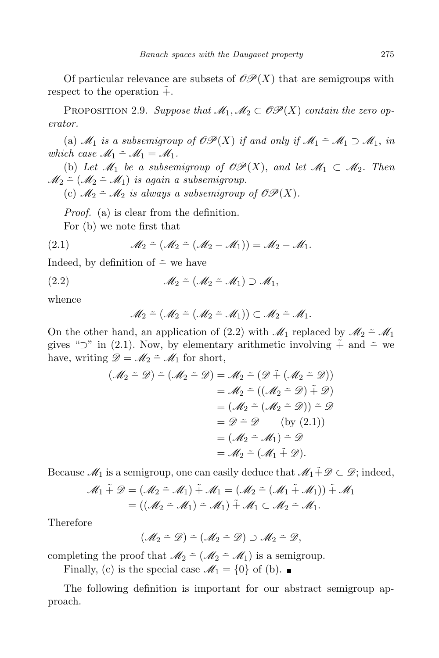Of particular relevance are subsets of  $\mathcal{OP}(X)$  that are semigroups with respect to the operation  $+$ .

PROPOSITION 2.9. Suppose that  $\mathcal{M}_1, \mathcal{M}_2 \subset \mathcal{OP}(X)$  contain the zero op*erator.*

(a)  $\mathcal{M}_1$  *is a subsemigroup of*  $\mathcal{OP}(X)$  *if and only if*  $\mathcal{M}_1 \cong \mathcal{M}_1 \supset \mathcal{M}_1$ , *in which case*  $M_1 \stackrel{\sim}{=} M_1 = M_1$ .

(b) Let  $\mathcal{M}_1$  be a subsemigroup of  $\mathcal{OP}(X)$ , and let  $\mathcal{M}_1 \subset \mathcal{M}_2$ . Then  $\mathcal{M}_2 \cong (\mathcal{M}_2 \cong \mathcal{M}_1)$  *is again a subsemigroup.* 

(c)  $\mathcal{M}_2 \cong \mathcal{M}_2$  *is always a subsemigroup of OP(X).* 

*Proof.* (a) is clear from the definition.

For (b) we note first that

(2.1) 
$$
\mathscr{M}_2 \simeq (\mathscr{M}_2 \simeq (\mathscr{M}_2 - \mathscr{M}_1)) = \mathscr{M}_2 - \mathscr{M}_1.
$$

Indeed, by definition of *−*˜ we have

(2.2) M<sup>2</sup> *−*˜ (M<sup>2</sup> *−*˜ M1) *⊃* M1*,*

whence

$$
\mathcal{M}_2 \simeq (\mathcal{M}_2 \simeq (\mathcal{M}_2 \simeq \mathcal{M}_1)) \subset \mathcal{M}_2 \simeq \mathcal{M}_1.
$$

On the other hand, an application of (2.2) with  $\mathcal{M}_1$  replaced by  $\mathcal{M}_2 \cong \mathcal{M}_1$ gives " $\supset$ " in (2.1). Now, by elementary arithmetic involving  $\tilde{+}$  and  $\tilde{-}$  we have, writing  $\mathscr{D} = \mathscr{M}_2 \cong \mathscr{M}_1$  for short,

$$
(\mathcal{M}_2 \tilde{-} \mathcal{D}) \tilde{-} (\mathcal{M}_2 \tilde{-} \mathcal{D}) = \mathcal{M}_2 \tilde{-} (\mathcal{D} \tilde{+} (\mathcal{M}_2 \tilde{-} \mathcal{D}))
$$
  
\n
$$
= \mathcal{M}_2 \tilde{-} ((\mathcal{M}_2 \tilde{-} \mathcal{D}) \tilde{+} \mathcal{D})
$$
  
\n
$$
= (\mathcal{M}_2 \tilde{-} (\mathcal{M}_2 \tilde{-} \mathcal{D})) \tilde{-} \mathcal{D}
$$
  
\n
$$
= \mathcal{D} \tilde{-} \mathcal{D} \qquad \text{(by (2.1))}
$$
  
\n
$$
= (\mathcal{M}_2 \tilde{-} \mathcal{M}_1) \tilde{-} \mathcal{D}
$$
  
\n
$$
= \mathcal{M}_2 \tilde{-} (\mathcal{M}_1 \tilde{+} \mathcal{D}).
$$

Because  $\mathcal{M}_1$  is a semigroup, one can easily deduce that  $\mathcal{M}_1 \tilde{+} \mathcal{D} \subset \mathcal{D}$ ; indeed,

$$
\mathcal{M}_1 \tilde{+} \mathcal{D} = (\mathcal{M}_2 \tilde{-} \mathcal{M}_1) \tilde{+} \mathcal{M}_1 = (\mathcal{M}_2 \tilde{-} \left( \mathcal{M}_1 \tilde{+} \mathcal{M}_1 \right)) \tilde{+} \mathcal{M}_1
$$
  
= ((\mathcal{M}\_2 \tilde{-} \mathcal{M}\_1) \tilde{-} \mathcal{M}\_1) \tilde{+} \mathcal{M}\_1 \subset \mathcal{M}\_2 \tilde{-} \mathcal{M}\_1.

Therefore

$$
(\mathscr{M}_2 \doteq \mathscr{D}) \doteq (\mathscr{M}_2 \doteq \mathscr{D}) \supset \mathscr{M}_2 \doteq \mathscr{D},
$$

completing the proof that  $\mathcal{M}_2 \tilde{\phantom{a}}$  ( $\mathcal{M}_2 \tilde{\phantom{a}} \mathcal{M}_1$ ) is a semigroup.

Finally, (c) is the special case  $\mathcal{M}_1 = \{0\}$  of (b).

The following definition is important for our abstract semigroup approach.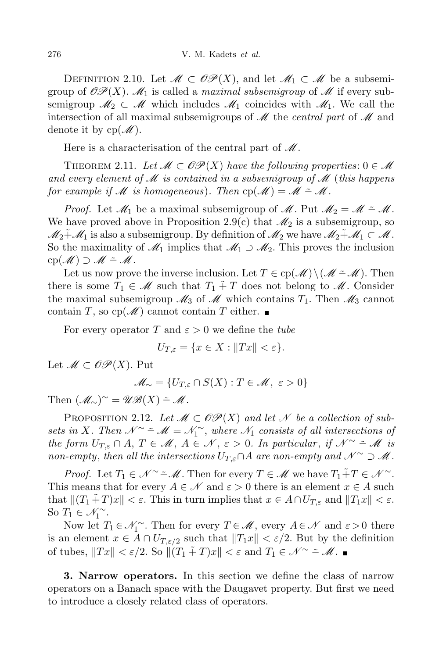DEFINITION 2.10. Let  $\mathcal{M} \subset \mathcal{OP}(X)$ , and let  $\mathcal{M}_1 \subset \mathcal{M}$  be a subsemigroup of  $\mathscr{OP}(X)$ .  $\mathscr{M}_1$  is called a *maximal subsemigroup* of  $\mathscr{M}$  if every subsemigroup  $\mathcal{M}_2 \subset \mathcal{M}$  which includes  $\mathcal{M}_1$  coincides with  $\mathcal{M}_1$ . We call the intersection of all maximal subsemigroups of M the *central part* of M and denote it by  $cp(\mathcal{M})$ .

Here is a characterisation of the central part of  $\mathcal{M}$ .

THEOREM 2.11. Let  $\mathcal{M} \subset \mathcal{OP}(X)$  have the following properties:  $0 \in \mathcal{M}$ *and every element of* M *is contained in a subsemigroup of* M (*this happens for example if*  $M$  *is homogeneous*). Then  $cp(M) = M - M$ .

*Proof.* Let  $\mathcal{M}_1$  be a maximal subsemigroup of  $\mathcal{M}$ . Put  $\mathcal{M}_2 = \mathcal{M} \doteq \mathcal{M}$ . We have proved above in Proposition 2.9(c) that  $\mathcal{M}_2$  is a subsemigroup, so  $\mathcal{M}_2\tilde{+}\mathcal{M}_1$  is also a subsemigroup. By definition of  $\mathcal{M}_2$  we have  $\mathcal{M}_2\tilde{+}\mathcal{M}_1\subset \mathcal{M}$ . So the maximality of  $\mathcal{M}_1$  implies that  $\mathcal{M}_1 \supset \mathcal{M}_2$ . This proves the inclusion cp(M) *⊃* M *−*˜ M.

Let us now prove the inverse inclusion. Let  $T \in \text{cp}(\mathcal{M}) \setminus (\mathcal{M} \cong \mathcal{M})$ . Then there is some  $T_1 \in \mathcal{M}$  such that  $T_1 \tilde{+} T$  does not belong to  $\mathcal{M}$ . Consider the maximal subsemigroup  $\mathcal{M}_3$  of  $\mathcal{M}$  which contains  $T_1$ . Then  $\mathcal{M}_3$  cannot contain *T*, so  $cp(\mathcal{M})$  cannot contain *T* either.

For every operator *T* and  $\varepsilon > 0$  we define the *tube* 

$$
U_{T,\varepsilon} = \{ x \in X : ||Tx|| < \varepsilon \}.
$$

Let  $M ⊂ \mathcal{OP}(X)$ . Put

$$
\mathscr{M}_\sim = \{U_{T,\varepsilon} \cap S(X) : T \in \mathscr{M}, \ \varepsilon > 0\}
$$

Then  $(\mathscr{M}_\sim)^\sim = \mathscr{UB}(X) - \mathscr{M}.$ 

PROPOSITION 2.12. Let  $\mathcal{M} \subset \mathcal{OP}(X)$  and let N be a collection of sub*sets* in *X*. Then  $\mathcal{N} \simeq \mathcal{M} = \mathcal{N}_1 \simeq$ , where  $\mathcal{N}_1$  consists of all intersections of *the form*  $U_{T,\varepsilon} \cap A, T \in \mathcal{M}, A \in \mathcal{N}, \varepsilon > 0$ . In particular, if  $\mathcal{N} \sim \tilde{A}$  is *non-empty, then all the intersections*  $U_{T,\varepsilon} \cap A$  *are non-empty and*  $\mathcal{N} \sim \mathcal{D}$  *M*.

*Proof.* Let  $T_1 \in \mathcal{N} \simeq \mathcal{M}$ . Then for every  $T \in \mathcal{M}$  we have  $T_1 \tilde{+} T \in \mathcal{N} \simeq$ . This means that for every  $A \in \mathcal{N}$  and  $\varepsilon > 0$  there is an element  $x \in A$  such that  $\| (T_1 \tilde{+} T)x \| < \varepsilon$ . This in turn implies that  $x \in A \cap U_{T,\varepsilon}$  and  $\|T_1 x \| < \varepsilon$ . So  $T_1 \in \mathcal{N}_1^{\sim}$ .

Now let  $T_1 \in \mathcal{N}_1^{\sim}$ . Then for every  $T \in \mathcal{M}$ , every  $A \in \mathcal{N}$  and  $\varepsilon > 0$  there is an element  $x \in A \cap U_{T,\varepsilon/2}$  such that  $||T_1x|| < \varepsilon/2$ . But by the definition of tubes,  $||Tx|| < \varepsilon/2$ . So  $||(T_1 \tilde{+} T)x|| < \varepsilon$  and  $T_1 \in \mathcal{N}^{\sim} \tilde{=} \mathcal{M}$ .

**3. Narrow operators.** In this section we define the class of narrow operators on a Banach space with the Daugavet property. But first we need to introduce a closely related class of operators.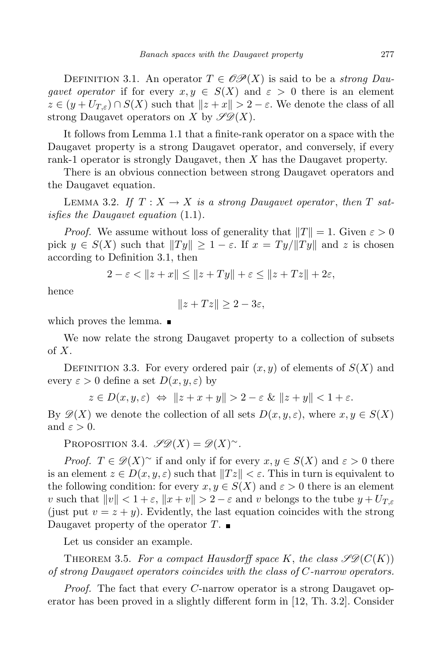DEFINITION 3.1. An operator  $T \in \mathcal{OP}(X)$  is said to be a *strong* Dau*gavet operator* if for every  $x, y \in S(X)$  and  $\varepsilon > 0$  there is an element  $z \in (y + U_{T,\varepsilon}) \cap S(X)$  such that  $||z + x|| > 2 - \varepsilon$ . We denote the class of all strong Daugavet operators on *X* by  $\mathscr{S}\mathscr{D}(X)$ .

It follows from Lemma 1.1 that a finite-rank operator on a space with the Daugavet property is a strong Daugavet operator, and conversely, if every rank-1 operator is strongly Daugavet, then *X* has the Daugavet property.

There is an obvious connection between strong Daugavet operators and the Daugavet equation.

LEMMA 3.2. If  $T: X \to X$  is a strong Daugavet operator, then T sat*isfies the Daugavet equation* (1.1)*.*

*Proof.* We assume without loss of generality that  $||T|| = 1$ . Given  $\varepsilon > 0$ pick  $y \in S(X)$  such that  $||Ty|| \geq 1 - \varepsilon$ . If  $x = Ty/||Ty||$  and z is chosen according to Definition 3.1, then

$$
2 - \varepsilon < \|z + x\| \le \|z + Ty\| + \varepsilon \le \|z + Tz\| + 2\varepsilon,
$$

hence

$$
||z+Tz|| \geq 2-3\varepsilon,
$$

which proves the lemma.

We now relate the strong Daugavet property to a collection of subsets of *X*.

DEFINITION 3.3. For every ordered pair  $(x, y)$  of elements of  $S(X)$  and every  $\varepsilon > 0$  define a set  $D(x, y, \varepsilon)$  by

 $z \in D(x, y, \varepsilon) \Leftrightarrow \|z + x + y\| > 2 - \varepsilon \& \|z + y\| < 1 + \varepsilon.$ 

By  $\mathscr{D}(X)$  we denote the collection of all sets  $D(x, y, \varepsilon)$ , where  $x, y \in S(X)$ and  $\varepsilon > 0$ .

PROPOSITION 3.4.  $\mathscr{S}\mathscr{D}(X) = \mathscr{D}(X)^\sim$ .

*Proof.*  $T \in \mathscr{D}(X)$ <sup>*∼*</sup> if and only if for every  $x, y \in S(X)$  and  $\varepsilon > 0$  there is an element  $z \in D(x, y, \varepsilon)$  such that  $||Tz|| < \varepsilon$ . This in turn is equivalent to the following condition: for every  $x, y \in S(X)$  and  $\varepsilon > 0$  there is an element *v* such that  $||v|| < 1 + \varepsilon$ ,  $||x + v|| > 2 - \varepsilon$  and *v* belongs to the tube  $y + U_{T,\varepsilon}$ (just put  $v = z + y$ ). Evidently, the last equation coincides with the strong Daugavet property of the operator *T*.

Let us consider an example.

THEOREM 3.5. For a compact Hausdorff space K, the class  $\mathscr{LD}(C(K))$ *of strong Daugavet operators coincides with the class of C-narrow operators.*

*Proof.* The fact that every *C*-narrow operator is a strong Daugavet operator has been proved in a slightly different form in [12, Th. 3.2]. Consider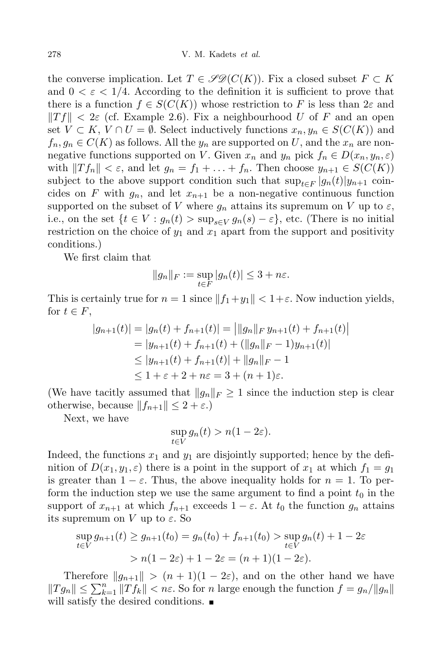the converse implication. Let  $T \in \mathscr{LD}(C(K))$ . Fix a closed subset  $F \subset K$ and  $0 < \varepsilon < 1/4$ . According to the definition it is sufficient to prove that there is a function  $f \in S(C(K))$  whose restriction to F is less than  $2\varepsilon$  and  $||Tf|| < 2\varepsilon$  (cf. Example 2.6). Fix a neighbourhood *U* of *F* and an open set *V* ⊂ *K*, *V* ∩ *U* =  $\emptyset$ . Select inductively functions  $x_n, y_n \in S(C(K))$  and  $f_n, g_n \in C(K)$  as follows. All the  $y_n$  are supported on *U*, and the  $x_n$  are nonnegative functions supported on *V*. Given  $x_n$  and  $y_n$  pick  $f_n \in D(x_n, y_n, \varepsilon)$ with  $||Tf_n|| < \varepsilon$ , and let  $g_n = f_1 + \ldots + f_n$ . Then choose  $y_{n+1} \in S(C(K))$ subject to the above support condition such that  $\sup_{t \in F} |g_n(t)|y_{n+1}$  coincides on *F* with  $g_n$ , and let  $x_{n+1}$  be a non-negative continuous function supported on the subset of *V* where  $g_n$  attains its supremum on *V* up to  $\varepsilon$ , i.e., on the set  $\{t \in V : g_n(t) > \sup_{s \in V} g_n(s) - \varepsilon\}$ , etc. (There is no initial restriction on the choice of  $y_1$  and  $x_1$  apart from the support and positivity conditions.)

We first claim that

$$
||g_n||_F := \sup_{t \in F} |g_n(t)| \le 3 + n\varepsilon.
$$

This is certainly true for  $n = 1$  since  $||f_1 + y_1|| < 1 + \varepsilon$ . Now induction yields, for  $t \in F$ ,

$$
|g_{n+1}(t)| = |g_n(t) + f_{n+1}(t)| = ||g_n||_F y_{n+1}(t) + f_{n+1}(t)|
$$
  
=  $|y_{n+1}(t) + f_{n+1}(t) + (||g_n||_F - 1)y_{n+1}(t)|$   
 $\le |y_{n+1}(t) + f_{n+1}(t)| + ||g_n||_F - 1$   
 $\le 1 + \varepsilon + 2 + n\varepsilon = 3 + (n + 1)\varepsilon.$ 

(We have tacitly assumed that  $||g_n||_F \geq 1$  since the induction step is clear otherwise, because  $||f_{n+1}|| \leq 2 + \varepsilon$ .)

Next, we have

$$
\sup_{t \in V} g_n(t) > n(1 - 2\varepsilon).
$$

Indeed, the functions  $x_1$  and  $y_1$  are disjointly supported; hence by the definition of  $D(x_1, y_1, \varepsilon)$  there is a point in the support of  $x_1$  at which  $f_1 = g_1$ is greater than  $1 - \varepsilon$ . Thus, the above inequality holds for  $n = 1$ . To perform the induction step we use the same argument to find a point  $t_0$  in the support of  $x_{n+1}$  at which  $f_{n+1}$  exceeds  $1 - \varepsilon$ . At  $t_0$  the function  $g_n$  attains its supremum on *V* up to  $\varepsilon$ . So

$$
\sup_{t \in V} g_{n+1}(t) \ge g_{n+1}(t_0) = g_n(t_0) + f_{n+1}(t_0) > \sup_{t \in V} g_n(t) + 1 - 2\varepsilon
$$
  
>  $n(1 - 2\varepsilon) + 1 - 2\varepsilon = (n+1)(1 - 2\varepsilon).$ 

Therefore  $||g_{n+1}|| > (n+1)(1-2\varepsilon)$ , and on the other hand we have  $||Tg_n|| \leq \sum_{k=1}^n ||Tf_k|| < n\varepsilon$ . So for *n* large enough the function  $f = g_n/||g_n||$ will satisfy the desired conditions.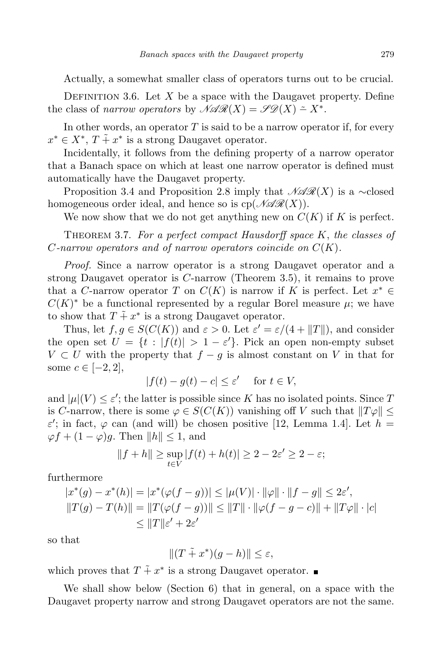Actually, a somewhat smaller class of operators turns out to be crucial.

DEFINITION 3.6. Let  $X$  be a space with the Daugavet property. Define the class of *narrow operators* by  $\mathcal{NAR}(X) = \mathcal{S}\mathcal{D}(X) \simeq X^*$ .

In other words, an operator  $T$  is said to be a narrow operator if, for every  $x^* \in X^*, T \tilde{+} x^*$  is a strong Daugavet operator.

Incidentally, it follows from the defining property of a narrow operator that a Banach space on which at least one narrow operator is defined must automatically have the Daugavet property.

Proposition 3.4 and Proposition 2.8 imply that  $\mathcal{N} \mathcal{A} \mathcal{R}(X)$  is a ∼closed homogeneous order ideal, and hence so is  $cp(\mathcal{NAG}(X))$ .

We now show that we do not get anything new on  $C(K)$  if K is perfect.

Theorem 3.7. *For a perfect compact Hausdorff space K*, *the classes of C-narrow operators and of narrow operators coincide on C*(*K*)*.*

*Proof.* Since a narrow operator is a strong Daugavet operator and a strong Daugavet operator is *C*-narrow (Theorem 3.5), it remains to prove that a *C*-narrow operator *T* on  $C(K)$  is narrow if *K* is perfect. Let  $x^* \in C(K)$  $C(K)^*$  be a functional represented by a regular Borel measure  $\mu$ ; we have to show that  $T \tilde{+} x^*$  is a strong Daugavet operator.

Thus, let  $f, g \in S(C(K))$  and  $\varepsilon > 0$ . Let  $\varepsilon' = \varepsilon/(4 + ||T||)$ , and consider the open set  $U = \{t : |f(t)| > 1 - \varepsilon'\}$ . Pick an open non-empty subset *V*  $\subset$  *U* with the property that *f* − *g* is almost constant on *V* in that for some  $c \in [-2, 2]$ ,

$$
|f(t) - g(t) - c| \le \varepsilon' \quad \text{ for } t \in V,
$$

and  $|\mu|(V) \leq \varepsilon'$ ; the latter is possible since *K* has no isolated points. Since *T* is *C*-narrow, there is some  $\varphi \in S(C(K))$  vanishing off *V* such that  $||T\varphi|| \le$  $\varepsilon'$ ; in fact,  $\varphi$  can (and will) be chosen positive [12, Lemma 1.4]. Let  $h =$  $\varphi f + (1 - \varphi)g$ . Then  $||h|| \leq 1$ , and

$$
||f + h|| \ge \sup_{t \in V} |f(t) + h(t)| \ge 2 - 2\varepsilon' \ge 2 - \varepsilon;
$$

furthermore

$$
|x^*(g) - x^*(h)| = |x^*(\varphi(f - g))| \le |\mu(V)| \cdot ||\varphi|| \cdot ||f - g|| \le 2\varepsilon',
$$
  

$$
||T(g) - T(h)|| = ||T(\varphi(f - g))|| \le ||T|| \cdot ||\varphi(f - g - c)|| + ||T\varphi|| \cdot |c|
$$
  

$$
\le ||T||\varepsilon' + 2\varepsilon'
$$

so that

$$
|| (T \tilde{+} x^*) (g - h)|| \le \varepsilon,
$$

which proves that  $T \tilde{+} x^*$  is a strong Daugavet operator.

We shall show below (Section 6) that in general, on a space with the Daugavet property narrow and strong Daugavet operators are not the same.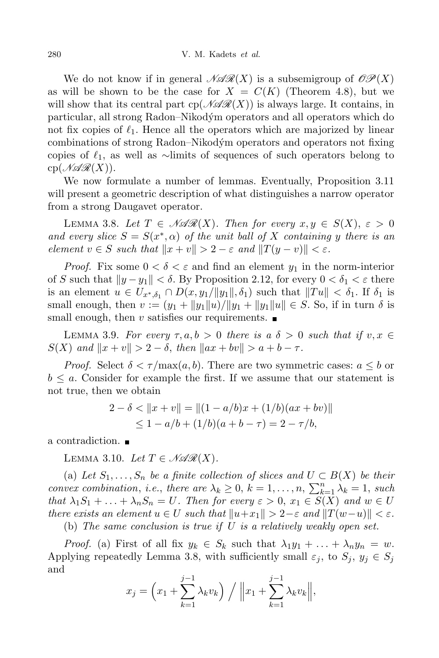We do not know if in general  $\mathscr{N}(\mathscr{R}(X))$  is a subsemigroup of  $\mathscr{OP}(X)$ as will be shown to be the case for  $X = C(K)$  (Theorem 4.8), but we will show that its central part  $cp(\mathcal{NAR}(X))$  is always large. It contains, in particular, all strong Radon–Nikodym´ operators and all operators which do not fix copies of  $\ell_1$ . Hence all the operators which are majorized by linear combinations of strong Radon–Nikodým operators and operators not fixing copies of *`*1, as well as *∼*limits of sequences of such operators belong to  $cp(\mathscr{NAR}(X)).$ 

We now formulate a number of lemmas. Eventually, Proposition 3.11 will present a geometric description of what distinguishes a narrow operator from a strong Daugavet operator.

LEMMA 3.8. Let  $T \in \mathcal{NAR}(X)$ . Then for every  $x, y \in S(X)$ ,  $\varepsilon > 0$ *and every slice*  $S = S(x^*, \alpha)$  *of the unit ball of X containing y there is an element*  $v \in S$  *such that*  $||x + v|| > 2 - \varepsilon$  *and*  $||T(y - v)|| < \varepsilon$ *.* 

*Proof.* Fix some  $0 < \delta < \varepsilon$  and find an element  $y_1$  in the norm-interior of *S* such that  $||y - y_1|| < \delta$ . By Proposition 2.12, for every  $0 < \delta_1 < \varepsilon$  there is an element  $u \in U_{x^*,\delta_1} \cap D(x,y_1/\|y_1\|,\delta_1)$  such that  $\|Tu\| < \delta_1$ . If  $\delta_1$  is small enough, then  $v := (y_1 + ||y_1||u)/||y_1 + ||y_1||u|| \in S$ . So, if in turn  $\delta$  is small enough, then *v* satisfies our requirements.  $\blacksquare$ 

**LEMMA** 3.9. For every  $\tau, a, b > 0$  there is a  $\delta > 0$  such that if  $v, x \in$  $S(X)$  *and*  $\|x + v\| > 2 - \delta$ , *then*  $\|ax + bv\| > a + b - \tau$ .

*Proof.* Select  $\delta < \tau / \max(a, b)$ . There are two symmetric cases:  $a \leq b$  or  $b \leq a$ . Consider for example the first. If we assume that our statement is not true, then we obtain

$$
2 - \delta < \|x + v\| = \|(1 - a/b)x + (1/b)(ax + bv)\|
$$
\n
$$
\leq 1 - a/b + (1/b)(a + b - \tau) = 2 - \tau/b,
$$

a contradiction.

LEMMA 3.10. Let  $T \in \mathcal{NAR}(X)$ .

(a) Let  $S_1, \ldots, S_n$  be a finite collection of slices and  $U \subset B(X)$  be their *convex combination, i.e., there are*  $\lambda_k \geq 0$ ,  $k = 1, \ldots, n$ ,  $\sum_{k=1}^n \lambda_k = 1$ , *such* that  $\lambda_1 S_1 + \ldots + \lambda_n S_n = U$ . Then for every  $\varepsilon > 0$ ,  $x_1 \in S(X)$  and  $w \in U$ there exists an element  $u \in U$  such that  $||u+x_1|| > 2-\varepsilon$  and  $||T(w-u)|| < \varepsilon$ .

(b) *The same conclusion is true if U is a relatively weakly open set.*

*Proof.* (a) First of all fix  $y_k \in S_k$  such that  $\lambda_1 y_1 + \ldots + \lambda_n y_n = w$ . Applying repeatedly Lemma 3.8, with sufficiently small  $\varepsilon_j$ , to  $S_j$ ,  $y_j \in S_j$ and

$$
x_j = \left(x_1 + \sum_{k=1}^{j-1} \lambda_k v_k\right) / ||x_1 + \sum_{k=1}^{j-1} \lambda_k v_k||,
$$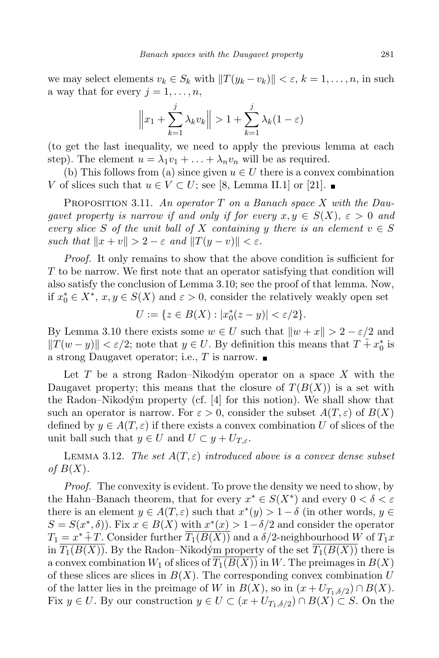we may select elements  $v_k \in S_k$  with  $||T(y_k - v_k)|| < \varepsilon$ ,  $k = 1, ..., n$ , in such a way that for every  $j = 1, \ldots, n$ ,

$$
\left\|x_1 + \sum_{k=1}^j \lambda_k v_k\right\| > 1 + \sum_{k=1}^j \lambda_k (1 - \varepsilon)
$$

(to get the last inequality, we need to apply the previous lemma at each step). The element  $u = \lambda_1 v_1 + \ldots + \lambda_n v_n$  will be as required.

(b) This follows from (a) since given  $u \in U$  there is a convex combination *V* of slices such that  $u \in V \subset U$ ; see [8, Lemma II.1] or [21]. ■

Proposition 3.11. *An operator T on a Banach space X with the Daugavet property is narrow if and only if for every*  $x, y \in S(X)$ ,  $\varepsilon > 0$  *and every slice S of the unit ball of X containing y there is an element*  $v \in S$ *such that*  $||x + v|| > 2 - \varepsilon$  *and*  $||T(y - v)|| < \varepsilon$ *.* 

*Proof.* It only remains to show that the above condition is sufficient for *T* to be narrow. We first note that an operator satisfying that condition will also satisfy the conclusion of Lemma 3.10; see the proof of that lemma. Now, if  $x_0^* \in X^*$ ,  $x, y \in S(X)$  and  $\varepsilon > 0$ , consider the relatively weakly open set

$$
U := \{ z \in B(X) : |x_0^*(z - y)| < \varepsilon/2 \}.
$$

By Lemma 3.10 there exists some  $w \in U$  such that  $\|w + x\| > 2 - \varepsilon/2$  and  $||T(w - y)|| < \varepsilon/2$ ; note that  $y \in U$ . By definition this means that  $T + x_0^*$  is a strong Daugavet operator; i.e., *T* is narrow.

Let  $T$  be a strong Radon–Nikodým operator on a space  $X$  with the Daugavet property; this means that the closure of  $T(B(X))$  is a set with the Radon–Nikodým property (cf.  $[4]$  for this notion). We shall show that such an operator is narrow. For  $\varepsilon > 0$ , consider the subset  $A(T, \varepsilon)$  of  $B(X)$ defined by  $y \in A(T, \varepsilon)$  if there exists a convex combination U of slices of the unit ball such that  $y \in U$  and  $U \subset y + U_{T,\varepsilon}$ .

**LEMMA** 3.12. *The set*  $A(T, \varepsilon)$  *introduced above is a convex dense subset of B*(*X*)*.*

*Proof.* The convexity is evident. To prove the density we need to show, by the Hahn–Banach theorem, that for every  $x^* \in S(X^*)$  and every  $0 < \delta < \varepsilon$ there is an element  $y \in A(T, \varepsilon)$  such that  $x^*(y) > 1 - \delta$  (in other words,  $y \in$  $S = S(x^*, \delta)$ . Fix  $x \in B(X)$  with  $x^*(x) > 1 - \delta/2$  and consider the operator  $T_1 = x^* + T$ . Consider further  $\overline{T_1(B(X))}$  and a  $\delta/2$ -neighbourhood *W* of  $T_1x$ in  $\overline{T_1(B(X))}$ . By the Radon–Nikodým property of the set  $\overline{T_1(B(X))}$  there is a convex combination  $W_1$  of slices of  $T_1(B(X))$  in W. The preimages in  $B(X)$ of these slices are slices in  $B(X)$ . The corresponding convex combination U of the latter lies in the preimage of *W* in  $B(X)$ , so in  $(x + U_{T_1, \delta/2}) \cap B(X)$ . Fix  $y \in U$ . By our construction  $y \in U \subset (x + U_{T_1, \delta/2}) \cap B(X) \subset S$ . On the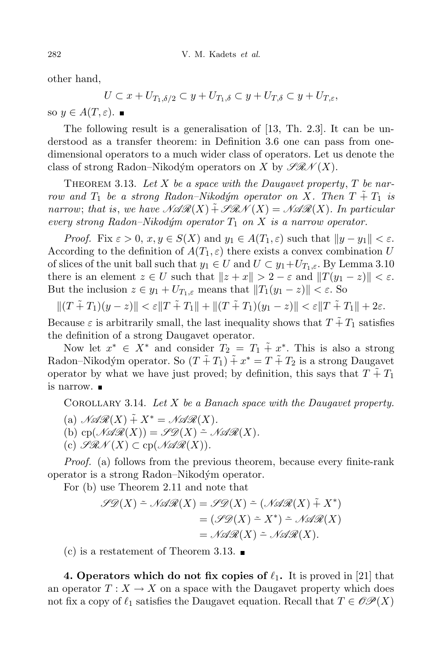other hand,

$$
U \subset x + U_{T_1, \delta/2} \subset y + U_{T_1, \delta} \subset y + U_{T, \delta} \subset y + U_{T, \varepsilon},
$$

so  $y \in A(T, \varepsilon)$ .

The following result is a generalisation of [13, Th. 2.3]. It can be understood as a transfer theorem: in Definition 3.6 one can pass from onedimensional operators to a much wider class of operators. Let us denote the class of strong Radon–Nikodým operators on *X* by  $\mathscr{F}\mathscr{R}\mathscr{N}(X)$ .

THEOREM 3.13. Let  $X$  be a space with the Daugavet property,  $T$  be nar*row* and  $T_1$  be a strong Radon–Nikodým operator on X. Then  $T \tilde{+} T_1$  is *narrow*; *that is*, *we have*  $\mathcal{NAR}(X) + \mathcal{SRN}(X) = \mathcal{NAR}(X)$ . In particular *every strong*  $Radon-Nikodým$  *operator*  $T_1$  *on*  $X$  *is a narrow operator.* 

*Proof.* Fix  $\varepsilon > 0$ ,  $x, y \in S(X)$  and  $y_1 \in A(T_1, \varepsilon)$  such that  $||y - y_1|| < \varepsilon$ . According to the definition of  $A(T_1, \varepsilon)$  there exists a convex combination U of slices of the unit ball such that  $y_1 \in U$  and  $U \subset y_1 + U_{T_1,\varepsilon}$ . By Lemma 3.10 there is an element  $z \in U$  such that  $||z + x|| > 2 - \varepsilon$  and  $||T(y_1 - z)|| < \varepsilon$ . But the inclusion  $z \in y_1 + U_{T_1, \varepsilon}$  means that  $||T_1(y_1 - z)|| < \varepsilon$ . So

 $||(T \tilde{+} T_1)(y - z)|| < \varepsilon ||T \tilde{+} T_1|| + ||(T \tilde{+} T_1)(y_1 - z)|| < \varepsilon ||T \tilde{+} T_1|| + 2\varepsilon.$ 

Because  $\varepsilon$  is arbitrarily small, the last inequality shows that  $T + T_1$  satisfies the definition of a strong Daugavet operator.

Now let  $x^* \in X^*$  and consider  $T_2 = T_1 \tilde{+} x^*$ . This is also a strong Radon–Nikodým operator. So  $(T + T_1) + x^* = T + T_2$  is a strong Daugavet operator by what we have just proved; by definition, this says that  $T + T_1$ is narrow.

Corollary 3.14. *Let X be a Banach space with the Daugavet property.*

(a)  $\mathcal{N} \mathcal{R} \mathcal{R}(X) + X^* = \mathcal{N} \mathcal{R} \mathcal{R}(X)$ . (b) cp( $\mathcal{N} \mathcal{R}(X)$ ) =  $\mathcal{S} \mathcal{D}(X)$  =  $\mathcal{N} \mathcal{R}(X)$ .  $(c)$   $\mathscr{G}\mathscr{R}\mathscr{N}(X) \subset \text{cp}(\mathscr{N}\mathscr{A}\mathscr{R}(X)).$ 

*Proof.* (a) follows from the previous theorem, because every finite-rank operator is a strong Radon–Nikodym´ operator.

For (b) use Theorem 2.11 and note that

$$
\mathcal{S}\mathcal{D}(X) \doteq \mathcal{N}\mathcal{A}\mathcal{R}(X) = \mathcal{S}\mathcal{D}(X) \doteq (\mathcal{N}\mathcal{A}\mathcal{R}(X) \tilde{+} X^*)
$$

$$
= (\mathcal{S}\mathcal{D}(X) \doteq X^*) \doteq \mathcal{N}\mathcal{A}\mathcal{R}(X)
$$

$$
= \mathcal{N}\mathcal{A}\mathcal{R}(X) \doteq \mathcal{N}\mathcal{A}\mathcal{R}(X).
$$

(c) is a restatement of Theorem 3.13.  $\blacksquare$ 

**4. Operators** which do not fix copies of  $\ell_1$ . It is proved in [21] that an operator  $T: X \to X$  on a space with the Daugavet property which does not fix a copy of  $\ell_1$  satisfies the Daugavet equation. Recall that  $T \in \mathcal{OP}(X)$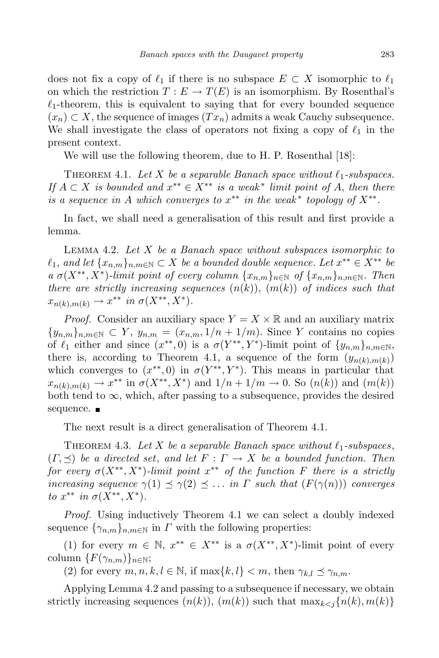does not fix a copy of  $\ell_1$  if there is no subspace  $E \subset X$  isomorphic to  $\ell_1$ on which the restriction  $T : E \to T(E)$  is an isomorphism. By Rosenthal's  $\ell_1$ -theorem, this is equivalent to saying that for every bounded sequence  $(x_n) \subset X$ , the sequence of images  $(Tx_n)$  admits a weak Cauchy subsequence. We shall investigate the class of operators not fixing a copy of  $\ell_1$  in the present context.

We will use the following theorem, due to H. P. Rosenthal [18]:

THEOREM 4.1. Let *X* be a separable Banach space without  $\ell_1$ -subspaces. If  $A \subset X$  is bounded and  $x^{**} \in X^{**}$  is a weak<sup>\*</sup> limit point of A, then there *is a sequence in A which converges to*  $x^{**}$  *in the weak*<sup>\*</sup> *topology of*  $X^{**}$ .

In fact, we shall need a generalisation of this result and first provide a lemma.

Lemma 4.2. *Let X be a Banach space without subspaces isomorphic to*  $\ell_1$ , and let  $\{x_{n,m}\}_{n,m\in\mathbb{N}}\subset X$  be a bounded double sequence. Let  $x^{**}\in X^{**}$  be  $a \sigma(X^{**}, X^*)$ -limit point of every column  $\{x_{n,m}\}_{n\in\mathbb{N}}$  of  $\{x_{n,m}\}_{n,m\in\mathbb{N}}$ . Then *there* are *strictly increasing sequences*  $(n(k))$ ,  $(m(k))$  *of indices such that*  $x_{n(k),m(k)} \to x^{**}$  *in*  $\sigma(X^{**}, X^*)$ *.* 

*Proof.* Consider an auxiliary space  $Y = X \times \mathbb{R}$  and an auxiliary matrix  ${y_{n,m}}_{n,m \in \mathbb{N}} \subset Y$ ,  $y_{n,m} = (x_{n,m}, 1/n + 1/m)$ . Since *Y* contains no copies of  $\ell_1$  either and since  $(x^{**}, 0)$  is a  $\sigma(Y^{**}, Y^*)$ -limit point of  $\{y_{n,m}\}_{n,m\in\mathbb{N}},$ there is, according to Theorem 4.1, a sequence of the form  $(y_{n(k),m(k)})$ which converges to  $(x^{**},0)$  in  $\sigma(Y^{**},Y^*)$ . This means in particular that  $x_{n(k),m(k)} \to x^{**}$  in  $\sigma(X^{**}, X^*)$  and  $1/n + 1/m \to 0$ . So  $(n(k))$  and  $(m(k))$ both tend to  $\infty$ , which, after passing to a subsequence, provides the desired sequence.  $\blacksquare$ 

The next result is a direct generalisation of Theorem 4.1.

THEOREM 4.3. Let *X* be a separable Banach space without  $\ell_1$ -subspaces,  $(F, \preceq)$  *be a directed set, and let*  $F: \Gamma \to X$  *be a bounded function. Then for every*  $\sigma(X^{**}, X^*)$ *-limit point*  $x^{**}$  *of the function*  $F$  *there is a strictly increasing sequence*  $\gamma(1) \preceq \gamma(2) \preceq \ldots$  *in*  $\Gamma$  *such that*  $(F(\gamma(n)))$  *converges to*  $x^{**}$  *in*  $\sigma(X^{**}, X^*)$ *.* 

*Proof.* Using inductively Theorem 4.1 we can select a doubly indexed sequence  $\{\gamma_{n,m}\}_{n,m\in\mathbb{N}}$  in *Γ* with the following properties:

(1) for every  $m \in \mathbb{N}$ ,  $x^{**} \in X^{**}$  is a  $\sigma(X^{**}, X^*)$ -limit point of every column  ${F(\gamma_{n,m})}_{n \in \mathbb{N}}$ ;

(2) for every  $m, n, k, l \in \mathbb{N}$ , if  $\max\{k, l\} < m$ , then  $\gamma_{k,l} \preceq \gamma_{n,m}$ .

Applying Lemma 4.2 and passing to a subsequence if necessary, we obtain strictly increasing sequences  $(n(k))$ ,  $(m(k))$  such that  $\max_{k \leq j} \{n(k), m(k)\}$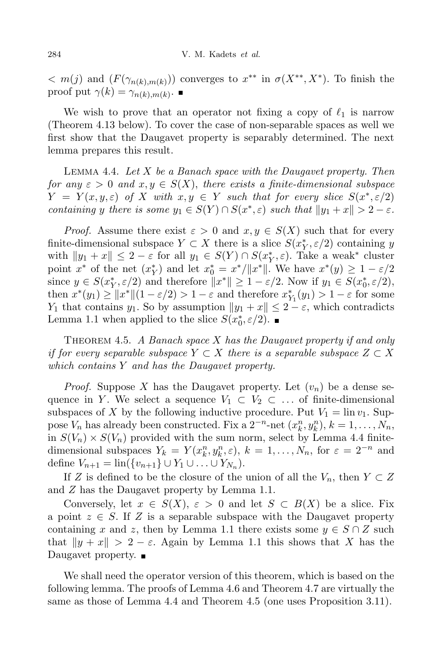$m(x) = m(x)$  and  $(F(\gamma_{n(k),m(k)}))$  converges to  $x^{**}$  in  $\sigma(X^{**}, X^{*})$ . To finish the proof put  $\gamma(k) = \gamma_{n(k),m(k)}$ .

We wish to prove that an operator not fixing a copy of  $\ell_1$  is narrow (Theorem 4.13 below). To cover the case of non-separable spaces as well we first show that the Daugavet property is separably determined. The next lemma prepares this result.

Lemma 4.4. *Let X be a Banach space with the Daugavet property. Then for*  $any \varepsilon > 0$  *and*  $x, y \in S(X)$ , *there exists a finite-dimensional subspace*  $Y = Y(x, y, \varepsilon)$  of X with  $x, y \in Y$  such that for every slice  $S(x^*, \varepsilon/2)$ containing y there is some  $y_1 \in S(Y) \cap S(x^*, \varepsilon)$  such that  $||y_1 + x|| > 2 - \varepsilon$ .

*Proof.* Assume there exist  $\varepsilon > 0$  and  $x, y \in S(X)$  such that for every finite-dimensional subspace  $Y \subset X$  there is a slice  $S(x_Y^*, \varepsilon/2)$  containing *y* with  $||y_1 + x|| \leq 2 - \varepsilon$  for all  $y_1 \in S(Y) \cap S(x^*, \varepsilon)$ . Take a weak<sup>\*</sup> cluster point  $x^*$  of the net  $(x^*_{Y})$  and let  $x^*_{0} = x^*/||x^*||$ . We have  $x^*(y) \ge 1 - \varepsilon/2$ since  $y \in S(x_Y^*, \varepsilon/2)$  and therefore  $||x^*|| \ge 1 - \varepsilon/2$ . Now if  $y_1 \in S(x_0^*, \varepsilon/2)$ , then  $x^*(y_1) \ge ||x^*||(1 - \varepsilon/2) > 1 - \varepsilon$  and therefore  $x^*_{Y_1}(y_1) > 1 - \varepsilon$  for some *Y*<sub>1</sub> that contains *y*<sub>1</sub>. So by assumption  $||y_1 + x|| \leq 2 - \varepsilon$ , which contradicts Lemma 1.1 when applied to the slice  $S(x_0^*, \varepsilon/2)$ .

Theorem 4.5. *A Banach space X has the Daugavet property if and only if for every separable subspace*  $Y \subset X$  *there is a separable subspace*  $Z \subset X$ *which contains Y and has the Daugavet property.*

*Proof.* Suppose X has the Daugavet property. Let  $(v_n)$  be a dense sequence in *Y*. We select a sequence  $V_1 \subset V_2 \subset \ldots$  of finite-dimensional subspaces of *X* by the following inductive procedure. Put  $V_1 = \lim v_1$ . Suppose  $V_n$  has already been constructed. Fix a  $2^{-n}$ -net  $(x_k^n, y_k^n)$ ,  $k = 1, \ldots, N_n$ , in  $S(V_n) \times S(V_n)$  provided with the sum norm, select by Lemma 4.4 finitedimensional subspaces  $Y_k = Y(x_k^n, y_k^n, \varepsilon), k = 1, ..., N_n$ , for  $\varepsilon = 2^{-n}$  and define  $V_{n+1} = \text{lin}(\{v_{n+1}\} \cup Y_1 \cup \ldots \cup Y_{N_n}).$ 

If *Z* is defined to be the closure of the union of all the  $V_n$ , then  $Y \subset Z$ and *Z* has the Daugavet property by Lemma 1.1.

Conversely, let  $x \in S(X)$ ,  $\varepsilon > 0$  and let  $S \subset B(X)$  be a slice. Fix a point  $z \in S$ . If Z is a separable subspace with the Daugavet property containing *x* and *z*, then by Lemma 1.1 there exists some  $y \in S \cap Z$  such that  $\|y + x\| > 2 - \varepsilon$ . Again by Lemma 1.1 this shows that *X* has the Daugavet property. ■

We shall need the operator version of this theorem, which is based on the following lemma. The proofs of Lemma 4.6 and Theorem 4.7 are virtually the same as those of Lemma 4.4 and Theorem 4.5 (one uses Proposition 3.11).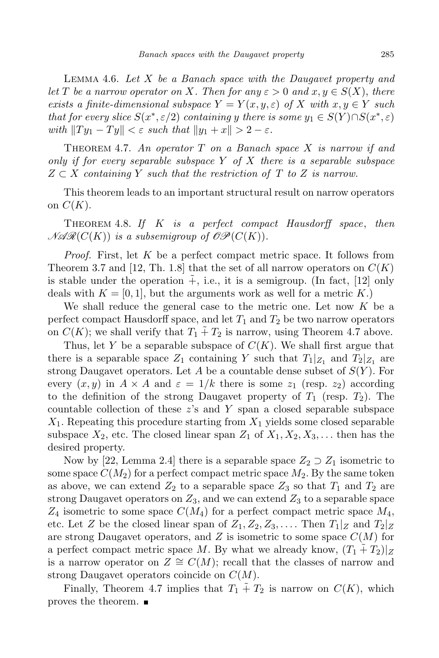Lemma 4.6. *Let X be a Banach space with the Daugavet property and let*  $T$  *be a narrow operator on*  $X$ *. Then for*  $any \varepsilon > 0$  *and*  $x, y \in S(X)$ , *there exists a finite-dimensional subspace*  $Y = Y(x, y, \varepsilon)$  *of*  $X$  *with*  $x, y \in Y$  *such* that for every slice  $S(x^*, \varepsilon/2)$  containing y there is some  $y_1 \in S(Y) \cap S(x^*, \varepsilon)$  $with$   $||Ty_1 - Ty|| < \varepsilon$  *such that*  $||y_1 + x|| > 2 - \varepsilon$ .

Theorem 4.7. *An operator T on a Banach space X is narrow if and only if for every separable subspace Y of X there is a separable subspace Z ⊂ X containing Y such that the restriction of T to Z is narrow.*

This theorem leads to an important structural result on narrow operators on  $C(K)$ .

Theorem 4.8. *If K is a perfect compact Hausdorff space*, *then*  $\mathcal{NAR}(C(K))$  *is a subsemigroup of*  $\mathcal{OP}(C(K))$ *.* 

*Proof.* First, let *K* be a perfect compact metric space. It follows from Theorem 3.7 and [12, Th. 1.8] that the set of all narrow operators on  $C(K)$ is stable under the operation  $+$ , i.e., it is a semigroup. (In fact, [12] only deals with  $K = [0, 1]$ , but the arguments work as well for a metric K.)

We shall reduce the general case to the metric one. Let now *K* be a perfect compact Hausdorff space, and let  $T_1$  and  $T_2$  be two narrow operators on  $C(K)$ ; we shall verify that  $T_1 + T_2$  is narrow, using Theorem 4.7 above.

Thus, let *Y* be a separable subspace of  $C(K)$ . We shall first argue that there is a separable space  $Z_1$  containing *Y* such that  $T_1|_{Z_1}$  and  $T_2|_{Z_1}$  are strong Daugavet operators. Let *A* be a countable dense subset of *S*(*Y* ). For every  $(x, y)$  in  $A \times A$  and  $\varepsilon = 1/k$  there is some  $z_1$  (resp.  $z_2$ ) according to the definition of the strong Daugavet property of  $T_1$  (resp.  $T_2$ ). The countable collection of these *z*'s and *Y* span a closed separable subspace *X*1. Repeating this procedure starting from *X*<sup>1</sup> yields some closed separable subspace  $X_2$ , etc. The closed linear span  $Z_1$  of  $X_1, X_2, X_3, \ldots$  then has the desired property.

Now by [22, Lemma 2.4] there is a separable space  $Z_2 \supset Z_1$  isometric to some space  $C(M_2)$  for a perfect compact metric space  $M_2$ . By the same token as above, we can extend  $Z_2$  to a separable space  $Z_3$  so that  $T_1$  and  $T_2$  are strong Daugavet operators on  $Z_3$ , and we can extend  $Z_3$  to a separable space *Z*<sup>4</sup> isometric to some space *C*(*M*4) for a perfect compact metric space *M*4, etc. Let *Z* be the closed linear span of  $Z_1, Z_2, Z_3, \ldots$ . Then  $T_1|_Z$  and  $T_2|_Z$ are strong Daugavet operators, and *Z* is isometric to some space *C*(*M*) for a perfect compact metric space M. By what we already know,  $(T_1 + T_2)|_Z$ is a narrow operator on  $Z \cong C(M)$ ; recall that the classes of narrow and strong Daugavet operators coincide on *C*(*M*).

Finally, Theorem 4.7 implies that  $T_1 + T_2$  is narrow on  $C(K)$ , which proves the theorem.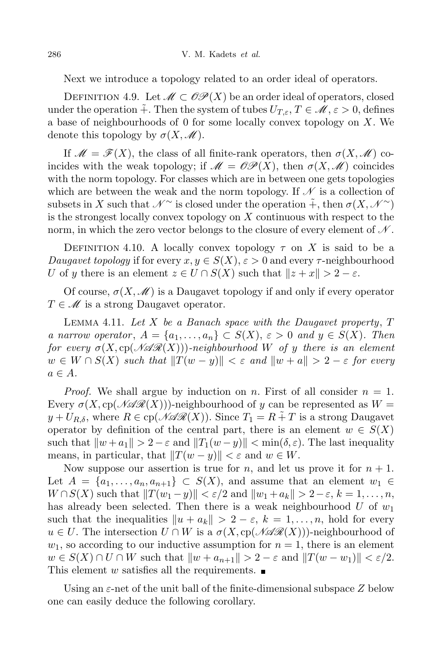Next we introduce a topology related to an order ideal of operators.

DEFINITION 4.9. Let  $\mathcal{M} \subset \mathcal{OP}(X)$  be an order ideal of operators, closed under the operation  $\tilde{+}$ . Then the system of tubes  $U_{T,\varepsilon}$ ,  $T \in \mathcal{M}, \varepsilon > 0$ , defines a base of neighbourhoods of 0 for some locally convex topology on *X*. We denote this topology by  $\sigma(X,\mathscr{M})$ .

If  $\mathcal{M} = \mathcal{F}(X)$ , the class of all finite-rank operators, then  $\sigma(X, \mathcal{M})$  coincides with the weak topology; if  $\mathcal{M} = \mathcal{OP}(X)$ , then  $\sigma(X, \mathcal{M})$  coincides with the norm topology. For classes which are in between one gets topologies which are between the weak and the norm topology. If  $\mathscr N$  is a collection of subsets in *X* such that  $\mathcal{N}^{\sim}$  is closed under the operation  $\tilde{+}$ , then  $\sigma(X, \mathcal{N}^{\sim})$ is the strongest locally convex topology on *X* continuous with respect to the norm, in which the zero vector belongs to the closure of every element of  $\mathcal{N}$ .

DEFINITION 4.10. A locally convex topology  $\tau$  on X is said to be a *Daugavet topology* if for every  $x, y \in S(X)$ ,  $\varepsilon > 0$  and every  $\tau$ -neighbourhood *U* of *y* there is an element  $z \in U \cap S(X)$  such that  $||z + x|| > 2 - \varepsilon$ .

Of course,  $\sigma(X,\mathscr{M})$  is a Daugavet topology if and only if every operator *T* ∈ *M* is a strong Daugavet operator.

Lemma 4.11. *Let X be a Banach space with the Daugavet property*, *T* a narrow operator,  $A = \{a_1, \ldots, a_n\} \subset S(X)$ ,  $\varepsilon > 0$  and  $y \in S(X)$ . Then *for every*  $\sigma(X, cp(\mathcal{NAR}(X)))$ *-neighbourhood W of y there is an element*  $w \in W \cap S(X)$  such that  $||T(w - y)|| < \varepsilon$  and  $||w + a|| > 2 - \varepsilon$  for every  $a \in A$ *.* 

*Proof.* We shall argue by induction on *n*. First of all consider  $n = 1$ . Every  $\sigma(X, c p(\mathcal{NAR}(X)))$ -neighbourhood of *y* can be represented as  $W =$  $y + U_{R,\delta}$ , where  $R \in \text{cp}(\mathcal{N} \mathcal{R}(X))$ . Since  $T_1 = R + T$  is a strong Daugavet operator by definition of the central part, there is an element  $w \in S(X)$ such that  $\|w + a_1\| > 2 - \varepsilon$  and  $\|T_1(w - y)\| < \min(\delta, \varepsilon)$ . The last inequality means, in particular, that  $||T(w - y)|| < \varepsilon$  and  $w \in W$ .

Now suppose our assertion is true for *n*, and let us prove it for  $n + 1$ . Let  $A = \{a_1, \ldots, a_n, a_{n+1}\} \subset S(X)$ , and assume that an element  $w_1 \in$  $W \cap S(X)$  such that  $||T(w_1 - y)|| < \varepsilon/2$  and  $||w_1 + a_k|| > 2 - \varepsilon$ ,  $k = 1, \ldots, n$ , has already been selected. Then there is a weak neighbourhood *U* of *w*<sup>1</sup> such that the inequalities  $||u + a_k|| > 2 - \varepsilon$ ,  $k = 1, \ldots, n$ , hold for every  $u \in U$ . The intersection  $U \cap W$  is a  $\sigma(X, c p(\mathcal{NAR}(X)))$ -neighbourhood of  $w_1$ , so according to our inductive assumption for  $n = 1$ , there is an element  $w \in S(X) \cap U \cap W$  such that  $||w + a_{n+1}|| > 2 - \varepsilon$  and  $||T(w - w_1)|| < \varepsilon/2$ . This element *w* satisfies all the requirements.  $\blacksquare$ 

Using an *ε*-net of the unit ball of the finite-dimensional subspace *Z* below one can easily deduce the following corollary.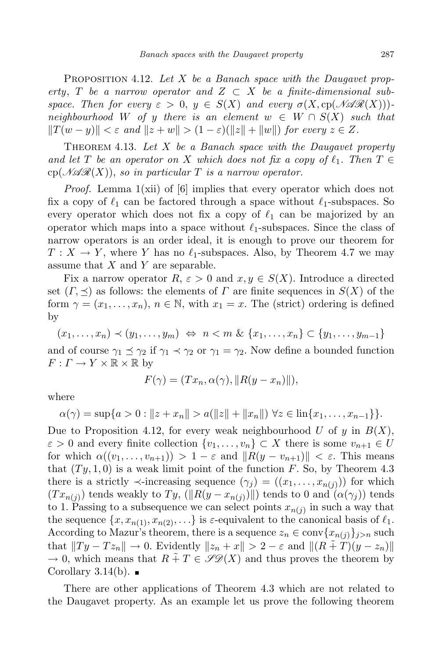Proposition 4.12. *Let X be a Banach space with the Daugavet property*, *T be a narrow operator* and  $Z \subset X$  *be a finite-dimensional subspace.* Then for every  $\varepsilon > 0$ ,  $y \in S(X)$  and every  $\sigma(X, c p(\mathcal{NAR}(X)))$  $neighbourhood$  *W of y there is an element*  $w \in W \cap S(X)$  *such that*  $||T(w-y)|| < \varepsilon$  and  $||z+w|| > (1-\varepsilon)(||z||+||w||)$  for every  $z \in Z$ .

Theorem 4.13. *Let X be a Banach space with the Daugavet property and let*  $T$  *be an operator on*  $X$  *which does not fix a copy of*  $\ell_1$ *. Then*  $T \in$  $\text{cp}(\mathcal{N}\mathcal{A}\mathcal{R}(X))$ , so in particular T is a narrow operator.

*Proof.* Lemma 1(xii) of [6] implies that every operator which does not fix a copy of  $\ell_1$  can be factored through a space without  $\ell_1$ -subspaces. So every operator which does not fix a copy of  $\ell_1$  can be majorized by an operator which maps into a space without  $\ell_1$ -subspaces. Since the class of narrow operators is an order ideal, it is enough to prove our theorem for  $T: X \to Y$ , where *Y* has no  $\ell_1$ -subspaces. Also, by Theorem 4.7 we may assume that *X* and *Y* are separable.

Fix a narrow operator  $R$ ,  $\varepsilon > 0$  and  $x, y \in S(X)$ . Introduce a directed set  $(\Gamma, \preceq)$  as follows: the elements of  $\Gamma$  are finite sequences in  $S(X)$  of the form  $\gamma = (x_1, \ldots, x_n)$ ,  $n \in \mathbb{N}$ , with  $x_1 = x$ . The (strict) ordering is defined by

 $(x_1,...,x_n) \prec (y_1,...,y_m) \Leftrightarrow n \prec m \& \{x_1,...,x_n\} \subset \{y_1,...,y_{m-1}\}\$ and of course  $\gamma_1 \preceq \gamma_2$  if  $\gamma_1 \prec \gamma_2$  or  $\gamma_1 = \gamma_2$ . Now define a bounded function  $F: \Gamma \to Y \times \mathbb{R} \times \mathbb{R}$  by

$$
F(\gamma) = (Tx_n, \alpha(\gamma), \|R(y - x_n)\|),
$$

where

$$
\alpha(\gamma) = \sup\{a > 0 : ||z + x_n|| > a(||z|| + ||x_n||) \,\forall z \in \lim\{x_1, \dots, x_{n-1}\}\}.
$$

Due to Proposition 4.12, for every weak neighbourhood *U* of *y* in *B*(*X*),  $\varepsilon > 0$  and every finite collection  $\{v_1, \ldots, v_n\} \subset X$  there is some  $v_{n+1} \in U$ for which  $\alpha((v_1, \ldots, v_{n+1})) > 1 - \varepsilon$  and  $||R(y - v_{n+1})|| < \varepsilon$ . This means that  $(Ty, 1, 0)$  is a weak limit point of the function  $F$ . So, by Theorem 4.3 there is a strictly  $\prec$ -increasing sequence  $(\gamma_j) = ((x_1, \ldots, x_{n(j)}))$  for which  $(Tx_{n(j)})$  tends weakly to  $Ty$ ,  $(\|R(y - x_{n(j)})\|)$  tends to 0 and  $(\alpha(\gamma_j))$  tends to 1. Passing to a subsequence we can select points  $x_{n(j)}$  in such a way that the sequence  $\{x, x_{n(1)}, x_{n(2)}, \ldots\}$  is  $\varepsilon$ -equivalent to the canonical basis of  $\ell_1$ . According to Mazur's theorem, there is a sequence  $z_n \in \text{conv}\{x_{n(j)}\}_{j>n}$  such that  $||Ty - Tz_n|| \to 0$ . Evidently  $||z_n + x|| > 2 - \varepsilon$  and  $||(R + T)(y - z_n)||$  $\rightarrow$  0, which means that  $R \tilde{+} T \in \mathscr{S}\mathscr{D}(X)$  and thus proves the theorem by Corollary 3.14(b).  $\blacksquare$ 

There are other applications of Theorem 4.3 which are not related to the Daugavet property. As an example let us prove the following theorem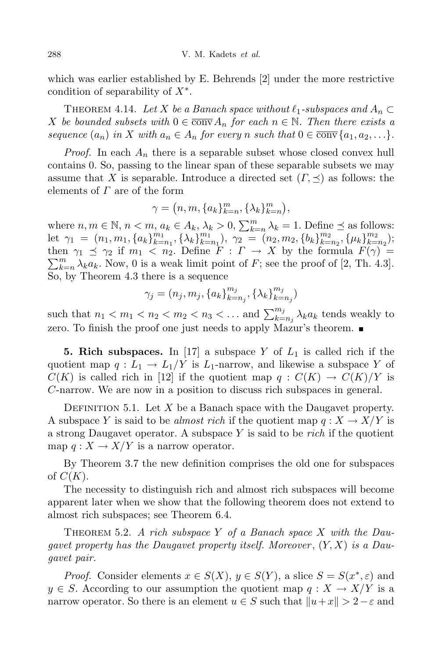which was earlier established by E. Behrends [2] under the more restrictive condition of separability of *X∗* .

THEOREM 4.14. Let *X* be a Banach space without  $\ell_1$ -subspaces and  $A_n \subset$ *X be bounded subsets with*  $0 \in \overline{\text{conv}} A_n$  *for each*  $n \in \mathbb{N}$ *. Then there exists a* sequence  $(a_n)$  in X with  $a_n \in A_n$  for every n such that  $0 \in \overline{\text{conv}}\{a_1, a_2, \ldots\}.$ 

*Proof.* In each *A<sup>n</sup>* there is a separable subset whose closed convex hull contains 0. So, passing to the linear span of these separable subsets we may assume that *X* is separable. Introduce a directed set  $(\Gamma, \prec)$  as follows: the elements of *Γ* are of the form

$$
\gamma = (n, m, \{a_k\}_{k=n}^m, \{\lambda_k\}_{k=n}^m),
$$

where  $n, m \in \mathbb{N}, n < m, a_k \in A_k, \lambda_k > 0, \sum_{k=n}^m \lambda_k = 1$ . Define  $\leq$  as follows: let  $\gamma_1 = (n_1, m_1, \{a_k\}_{k=1}^{m_1})$  $\sum_{k=n_1}^{m_1}$ ,  $\{\lambda_k\}_{k=1}^{m_1}$  $\binom{m_1}{k=n_1}, \ \gamma_2 = (n_2, m_2, \{b_k\}_{k=1}^{m_2})$  $\mu_{k=n_2}^{m_2}, \{\mu_k\}_{k=1}^{m_2}$  $\binom{m_2}{k=n_2};$  $\sum_{k=1}^{m}$ then  $\gamma_1 \preceq \gamma_2$  if  $m_1 < n_2$ . Define  $F : \Gamma \to X$  by the formula  $F(\gamma) =$  $\sum_{k=n}^{m} \lambda_k a_k$ . Now, 0 is a weak limit point of *F*; see the proof of [2, Th. 4.3]. So, by Theorem 4.3 there is a sequence

$$
\gamma_j = (n_j, m_j, \{a_k\}_{k=n_j}^{m_j}, \{\lambda_k\}_{k=n_j}^{m_j})
$$

such that  $n_1 < m_1 < n_2 < m_2 < n_3 < \dots$  and  $\sum_{k=n_j}^{m_j} \lambda_k a_k$  tends weakly to zero. To finish the proof one just needs to apply Mazur's theorem.

**5.** Rich subspaces. In [17] a subspace *Y* of  $L_1$  is called rich if the quotient map  $q: L_1 \to L_1/Y$  is  $L_1$ -narrow, and likewise a subspace Y of  $C(K)$  is called rich in [12] if the quotient map  $q: C(K) \to C(K)/Y$  is *C*-narrow. We are now in a position to discuss rich subspaces in general.

DEFINITION 5.1. Let  $X$  be a Banach space with the Daugavet property. A subspace *Y* is said to be *almost* rich if the quotient map  $q: X \to X/Y$  is a strong Daugavet operator. A subspace *Y* is said to be *rich* if the quotient map  $q: X \to X/Y$  is a narrow operator.

By Theorem 3.7 the new definition comprises the old one for subspaces of  $C(K)$ .

The necessity to distinguish rich and almost rich subspaces will become apparent later when we show that the following theorem does not extend to almost rich subspaces; see Theorem 6.4.

THEOREM 5.2. *A* rich subspace *Y* of a Banach space *X* with the Dau*gavet property has the Daugavet property itself. Moreover* , (*Y, X*) *is a Daugavet pair.*

*Proof.* Consider elements  $x \in S(X)$ ,  $y \in S(Y)$ , a slice  $S = S(x^*, \varepsilon)$  and  $y \in S$ . According to our assumption the quotient map  $q: X \to X/Y$  is a narrow operator. So there is an element  $u \in S$  such that  $||u + x|| > 2 - \varepsilon$  and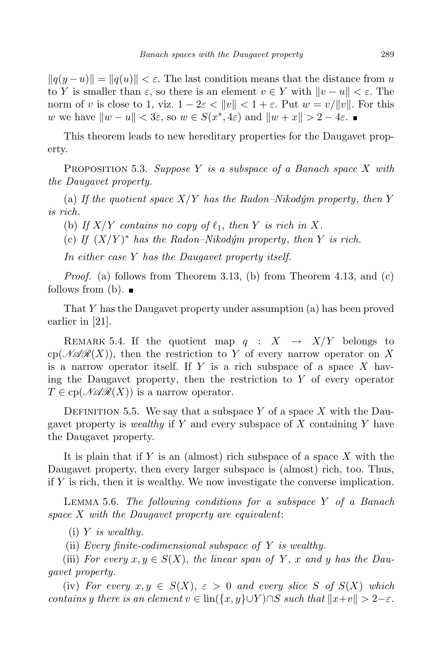$||q(y - u)|| = ||q(u)|| < \varepsilon$ . The last condition means that the distance from *u* to *Y* is smaller than  $\varepsilon$ , so there is an element  $v \in Y$  with  $\|v - u\| < \varepsilon$ . The norm of *v* is close to 1, viz.  $1 - 2\varepsilon < ||v|| < 1 + \varepsilon$ . Put  $w = v/||v||$ . For this *w* we have  $\|w - u\| < 3\varepsilon$ , so  $w \in S(x^*, 4\varepsilon)$  and  $\|w + x\| > 2 - 4\varepsilon$ .

This theorem leads to new hereditary properties for the Daugavet property.

Proposition 5.3. *Suppose Y is a subspace of a Banach space X with the Daugavet property.*

(a) If the quotient space  $X/Y$  has the Radon–Nikodym property, then Y *is rich.*

(b) If  $X/Y$  contains no copy of  $\ell_1$ , then Y is rich in X.

(c) If  $(X/Y)^*$  has the Radon–Nikodým property, then Y is rich.

*In either case Y has the Daugavet property itself.*

*Proof.* (a) follows from Theorem 3.13, (b) from Theorem 4.13, and (c) follows from (b).  $\blacksquare$ 

That *Y* has the Daugavet property under assumption (a) has been proved earlier in [21].

REMARK 5.4. If the quotient map  $q : X \rightarrow X/Y$  belongs to  $c_p(\mathcal{MAR}(X))$ , then the restriction to Y of every narrow operator on X is a narrow operator itself. If *Y* is a rich subspace of a space *X* having the Daugavet property, then the restriction to *Y* of every operator  $T \in \text{cp}(\mathcal{N} \mathcal{R}(\mathcal{X}))$  is a narrow operator.

DEFINITION 5.5. We say that a subspace  $Y$  of a space  $X$  with the Daugavet property is *wealthy* if *Y* and every subspace of *X* containing *Y* have the Daugavet property.

It is plain that if *Y* is an (almost) rich subspace of a space *X* with the Daugavet property, then every larger subspace is (almost) rich, too. Thus, if *Y* is rich, then it is wealthy. We now investigate the converse implication.

Lemma 5.6. *The following conditions for a subspace Y of a Banach space X with the Daugavet property are equivalent*:

(i) *Y is wealthy.*

(ii) *Every finite-codimensional subspace of Y is wealthy.*

(iii) *For every*  $x, y \in S(X)$ , the linear span of Y, x and y has the Dau*gavet property.*

(iv) *For every*  $x, y \in S(X)$ ,  $\varepsilon > 0$  *and every slice S of*  $S(X)$  *which* contains y there is an element  $v \in \text{lin}(\{x, y\} \cup Y) \cap S$  such that  $||x+v|| > 2-\varepsilon$ .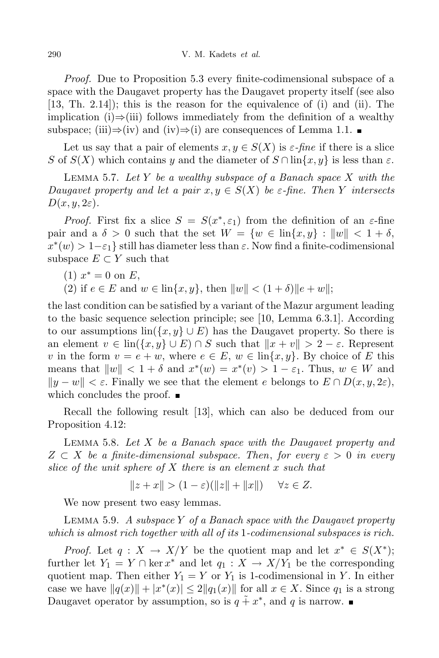*Proof.* Due to Proposition 5.3 every finite-codimensional subspace of a space with the Daugavet property has the Daugavet property itself (see also [13, Th. 2.14]); this is the reason for the equivalence of (i) and (ii). The implication (i)*⇒*(iii) follows immediately from the definition of a wealthy subspace; (iii)⇒(iv) and (iv)⇒(i) are consequences of Lemma 1.1.  $\blacksquare$ 

Let us say that a pair of elements  $x, y \in S(X)$  is  $\varepsilon$ -fine if there is a slice *S* of *S*(*X*) which contains *y* and the diameter of  $S \cap \text{lin}\{x, y\}$  is less than  $\varepsilon$ .

Lemma 5.7. *Let Y be a wealthy subspace of a Banach space X with the Daugavet property and let a pair*  $x, y \in S(X)$  *be*  $\varepsilon$ *-fine. Then Y intersects*  $D(x, y, 2\varepsilon)$ .

*Proof.* First fix a slice  $S = S(x^*, \varepsilon_1)$  from the definition of an  $\varepsilon$ -fine pair and a  $\delta > 0$  such that the set  $W = \{w \in \text{lin}\{x, y\} : ||w|| < 1 + \delta,$  $x^*(w) > 1 - \varepsilon_1$  still has diameter less than  $\varepsilon$ . Now find a finite-codimensional subspace  $E \subset Y$  such that

 $(1)$   $x^* = 0$  on  $E$ ,

(2) if  $e \in E$  and  $w \in \text{lin}\{x, y\}$ , then  $\|w\| < (1 + \delta) \|e + w\|$ ;

the last condition can be satisfied by a variant of the Mazur argument leading to the basic sequence selection principle; see [10, Lemma 6.3.1]. According to our assumptions  $\text{lin}(\{x, y\} \cup E)$  has the Daugavet property. So there is an element  $v \in \text{lin}(\{x, y\} \cup E) \cap S$  such that  $\|x + v\| > 2 - \varepsilon$ . Represent *v* in the form  $v = e + w$ , where  $e \in E$ ,  $w \in \text{lin}\{x, y\}$ . By choice of *E* this means that  $\|w\| < 1 + \delta$  and  $x^*(w) = x^*(v) > 1 - \varepsilon_1$ . Thus,  $w \in W$  and *k ky* − *w*<sup>*k*</sup>  $\leq$  *ε*. Finally we see that the element *e* belongs to  $E ∩ D(x, y, 2ε)$ , which concludes the proof.  $\blacksquare$ 

Recall the following result [13], which can also be deduced from our Proposition 4.12:

Lemma 5.8. *Let X be a Banach space with the Daugavet property and Z ⊂ X be a finite-dimensional subspace. Then*, *for every ε >* 0 *in every slice of the unit sphere of X there is an element x such that*

 $\|z + x\| > (1 - \varepsilon)(\|z\| + \|x\|) \quad \forall z \in Z.$ 

We now present two easy lemmas.

Lemma 5.9. *A subspace Y of a Banach space with the Daugavet property which is almost rich together with all of its* 1*-codimensional subspaces is rich.*

*Proof.* Let  $q: X \to X/Y$  be the quotient map and let  $x^* \in S(X^*)$ ; further let  $Y_1 = Y \cap \ker x^*$  and let  $q_1 : X \to X/Y_1$  be the corresponding quotient map. Then either  $Y_1 = Y$  or  $Y_1$  is 1-codimensional in Y. In either case we have  $||q(x)|| + |x^*(x)| \leq 2||q_1(x)||$  for all  $x \in X$ . Since  $q_1$  is a strong Daugavet operator by assumption, so is  $q \tilde{+} x^*$ , and q is narrow.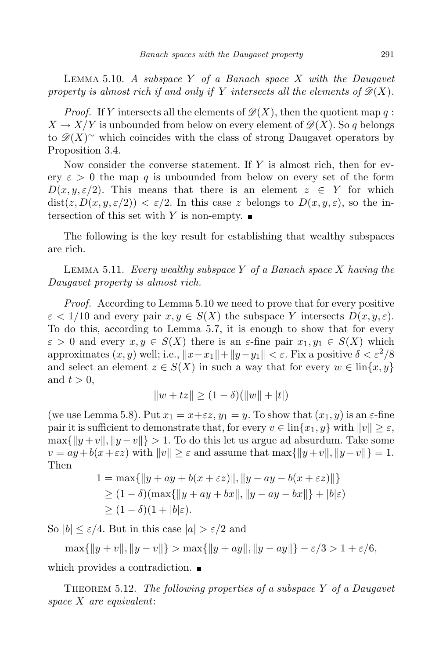Lemma 5.10. *A subspace Y of a Banach space X with the Daugavet* property is almost rich if and only if Y intersects all the elements of  $\mathcal{D}(X)$ .

*Proof.* If *Y* intersects all the elements of  $\mathscr{D}(X)$ , then the quotient map q:  $X \to X/Y$  is unbounded from below on every element of  $\mathscr{D}(X)$ . So *q* belongs to  $\mathscr{D}(X)$ <sup>∼</sup> which coincides with the class of strong Daugavet operators by Proposition 3.4.

Now consider the converse statement. If *Y* is almost rich, then for every  $\varepsilon > 0$  the map q is unbounded from below on every set of the form  $D(x, y, \varepsilon/2)$ . This means that there is an element  $z \in Y$  for which  $dist(z, D(x, y, \varepsilon/2)) < \varepsilon/2$ . In this case *z* belongs to  $D(x, y, \varepsilon)$ , so the intersection of this set with *Y* is non-empty.

The following is the key result for establishing that wealthy subspaces are rich.

Lemma 5.11. *Every wealthy subspace Y of a Banach space X having the Daugavet property is almost rich.*

*Proof.* According to Lemma 5.10 we need to prove that for every positive  $\varepsilon$  < 1/10 and every pair  $x, y \in S(X)$  the subspace *Y* intersects  $D(x, y, \varepsilon)$ . To do this, according to Lemma 5.7, it is enough to show that for every  $\varepsilon > 0$  and every  $x, y \in S(X)$  there is an  $\varepsilon$ -fine pair  $x_1, y_1 \in S(X)$  which  $\alpha$  approximates  $(x, y)$  well; i.e.,  $||x - x_1|| + ||y - y_1|| < \varepsilon$ . Fix a positive  $\delta < \varepsilon^2/8$ and select an element  $z \in S(X)$  in such a way that for every  $w \in \text{lin}\{x, y\}$ and  $t > 0$ ,

$$
||w + tz|| \ge (1 - \delta)(||w|| + |t|)
$$

(we use Lemma 5.8). Put  $x_1 = x + \varepsilon z$ ,  $y_1 = y$ . To show that  $(x_1, y)$  is an  $\varepsilon$ -fine pair it is sufficient to demonstrate that, for every  $v \in \text{lin}\{x_1, y\}$  with  $||v|| \geq \varepsilon$ ,  $\max\{\|y+v\|, \|y-v\|\} > 1$ . To do this let us argue ad absurdum. Take some  $v = ay + b(x + \varepsilon z)$  with  $||v|| \ge \varepsilon$  and assume that  $\max\{||y + v||, ||y - v||\} = 1$ . Then

$$
1 = \max{\{\|y + ay + b(x + \varepsilon z)\|, \|y - ay - b(x + \varepsilon z)\|\}}
$$
  
\n
$$
\geq (1 - \delta)(\max{\{\|y + ay + bx\|, \|y - ay - bx\|\} + |b|\varepsilon)}
$$
  
\n
$$
\geq (1 - \delta)(1 + |b|\varepsilon).
$$

So  $|b| \leq \varepsilon/4$ . But in this case  $|a| > \varepsilon/2$  and

 $\max\{\|y+v\|,\|y-v\|\} > \max\{\|y+ay\|,\|y-ay\|\} - \varepsilon/3 > 1 + \varepsilon/6,$ 

which provides a contradiction.  $\blacksquare$ 

Theorem 5.12. *The following properties of a subspace Y of a Daugavet space X are equivalent*: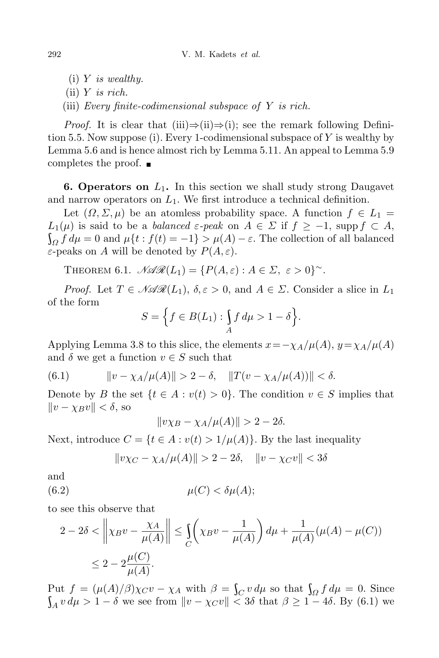- (i) *Y is wealthy.*
- (ii) *Y is rich.*
- (iii) *Every finite-codimensional subspace of Y is rich.*

*Proof.* It is clear that (iii)*⇒*(ii)*⇒*(i); see the remark following Definition 5.5. Now suppose (i). Every 1-codimensional subspace of *Y* is wealthy by Lemma 5.6 and is hence almost rich by Lemma 5.11. An appeal to Lemma 5.9 completes the proof.

**6. Operators on** *L*1**.** In this section we shall study strong Daugavet and narrow operators on  $L_1$ . We first introduce a technical definition.

Let  $(\Omega, \Sigma, \mu)$  be an atomless probability space. A function  $f \in L_1$  $L_1(\mu)$  is said to be a *balanced*  $\varepsilon$ -peak on  $A \in \Sigma$  if  $f \ge -1$ , supp  $f \subset A$ ,  $Q \int f d\mu = 0$  and  $\mu\{t : f(t) = -1\} > \mu(A) - \varepsilon$ . The collection of all balanced *ε*-peaks on *A* will be denoted by  $P(A, \varepsilon)$ .

THEOREM 6.1.  $\mathcal{NAR}(L_1) = \{P(A,\varepsilon): A \in \Sigma, \varepsilon > 0\}^\sim$ .

*Proof.* Let  $T \in \mathcal{NAR}(L_1)$ ,  $\delta, \varepsilon > 0$ , and  $A \in \Sigma$ . Consider a slice in  $L_1$ of the form

$$
S = \Big\{ f \in B(L_1) : \int_A f \, d\mu > 1 - \delta \Big\}.
$$

Applying Lemma 3.8 to this slice, the elements  $x = -\chi_A/\mu(A), y = \chi_A/\mu(A)$ and  $\delta$  we get a function  $v \in S$  such that

(6.1) 
$$
\|v - \chi_A/\mu(A)\| > 2 - \delta, \quad \|T(v - \chi_A/\mu(A))\| < \delta.
$$

Denote by *B* the set  $\{t \in A : v(t) > 0\}$ . The condition  $v \in S$  implies that  $||v - \chi_B v|| < \delta$ , so

$$
\|v\chi_B - \chi_A/\mu(A)\| > 2 - 2\delta.
$$

Next, introduce  $C = \{t \in A : v(t) > 1/\mu(A)\}$ . By the last inequality

$$
||v\chi_C - \chi_A/\mu(A)|| > 2 - 2\delta, \quad ||v - \chi_C v|| < 3\delta
$$

and

$$
(6.2) \t\t \mu(C) < \delta \mu(A);
$$

to see this observe that

$$
2 - 2\delta < \left\| \chi_B v - \frac{\chi_A}{\mu(A)} \right\| \le \int_C \left( \chi_B v - \frac{1}{\mu(A)} \right) d\mu + \frac{1}{\mu(A)} (\mu(A) - \mu(C))
$$
\n
$$
\le 2 - 2\frac{\mu(C)}{\mu(A)}.
$$

Put  $f = (\mu(A)/\beta)\chi_C v - \chi_A$  with  $\beta = \int_C v d\mu$  so that  $\int_{\Omega} f d\mu = 0$ . Since  $\int_A v \, d\mu > 1 - \delta$  we see from  $\|v - \chi_C v\| < 3\delta$  that  $\beta \ge 1 - 4\delta$ . By (6.1) we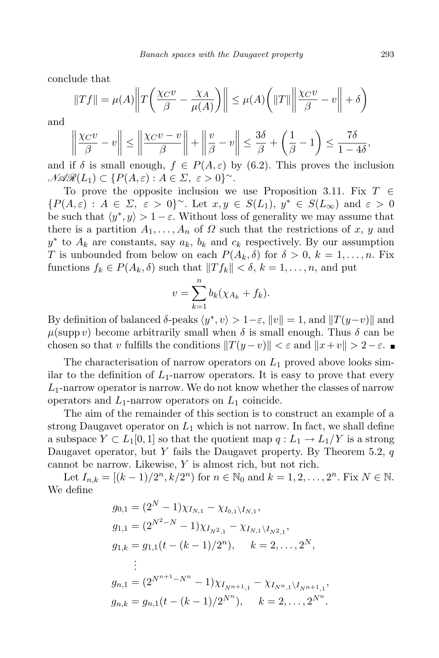conclude that

$$
||Tf|| = \mu(A) \left||T\left(\frac{\chi_{C}v}{\beta} - \frac{\chi_{A}}{\mu(A)}\right)|| \le \mu(A) \left(||T|| \left||\frac{\chi_{C}v}{\beta} - v\right|| + \delta\right)
$$

and

$$
\left\|\frac{\chi_C v}{\beta} - v\right\| \le \left\|\frac{\chi_C v - v}{\beta}\right\| + \left\|\frac{v}{\beta} - v\right\| \le \frac{3\delta}{\beta} + \left(\frac{1}{\beta} - 1\right) \le \frac{7\delta}{1 - 4\delta},
$$

and if  $\delta$  is small enough,  $f \in P(A, \varepsilon)$  by (6.2). This proves the inclusion  $\mathcal{N}\mathcal{R}(L_1) \subset \{P(A,\varepsilon): A \in \Sigma, \varepsilon > 0\}^{\sim}.$ 

To prove the opposite inclusion we use Proposition 3.11. Fix *T ∈*  $\{P(A,\varepsilon): A \in \Sigma, \varepsilon > 0\}^{\sim}$ . Let  $x, y \in S(L_1), y^* \in S(L_{\infty})$  and  $\varepsilon > 0$ be such that  $\langle y^*, y \rangle > 1 - \varepsilon$ . Without loss of generality we may assume that there is a partition  $A_1, \ldots, A_n$  of  $\Omega$  such that the restrictions of x, y and  $y^*$  to  $A_k$  are constants, say  $a_k$ ,  $b_k$  and  $c_k$  respectively. By our assumption *T* is unbounded from below on each  $P(A_k, \delta)$  for  $\delta > 0$ ,  $k = 1, \ldots, n$ . Fix functions  $f_k \in P(A_k, \delta)$  such that  $||Tf_k|| < \delta, k = 1, \ldots, n$ , and put

$$
v = \sum_{k=1}^{n} b_k (\chi_{A_k} + f_k).
$$

By definition of balanced  $\delta$ -peaks  $\langle y^*, v \rangle > 1 - \varepsilon$ ,  $\|v\| = 1$ , and  $\|T(y-v)\|$  and  $\mu(\text{supp } v)$  become arbitrarily small when  $\delta$  is small enough. Thus  $\delta$  can be chosen so that *v* fulfills the conditions  $||T(y - v)|| < \varepsilon$  and  $||x + v|| > 2 - \varepsilon$ .

The characterisation of narrow operators on *L*<sup>1</sup> proved above looks similar to the definition of  $L_1$ -narrow operators. It is easy to prove that every *L*1-narrow operator is narrow. We do not know whether the classes of narrow operators and *L*1-narrow operators on *L*<sup>1</sup> coincide.

The aim of the remainder of this section is to construct an example of a strong Daugavet operator on  $L_1$  which is not narrow. In fact, we shall define a subspace  $Y \subset L_1[0,1]$  so that the quotient map  $q: L_1 \to L_1/Y$  is a strong Daugavet operator, but *Y* fails the Daugavet property. By Theorem 5.2, *q* cannot be narrow. Likewise, *Y* is almost rich, but not rich.

Let  $I_{n,k} = [(k-1)/2^n, k/2^n)$  for  $n \in \mathbb{N}_0$  and  $k = 1, 2, ..., 2^n$ . Fix  $N \in \mathbb{N}$ . We define

$$
g_{0,1} = (2^N - 1)\chi_{I_{N,1}} - \chi_{I_{0,1}\setminus I_{N,1}},
$$
  
\n
$$
g_{1,1} = (2^{N^2 - N} - 1)\chi_{I_{N^2,1}} - \chi_{I_{N,1}\setminus I_{N^2,1}},
$$
  
\n
$$
g_{1,k} = g_{1,1}(t - (k - 1)/2^n), \quad k = 2, ..., 2^N,
$$
  
\n
$$
\vdots
$$
  
\n
$$
g_{n,1} = (2^{N^{n+1} - N^n} - 1)\chi_{I_{N^{n+1},1}} - \chi_{I_{N^n,1}\setminus I_{N^{n+1},1}},
$$
  
\n
$$
g_{n,k} = g_{n,1}(t - (k - 1)/2^{N^n}), \quad k = 2, ..., 2^{N^n}.
$$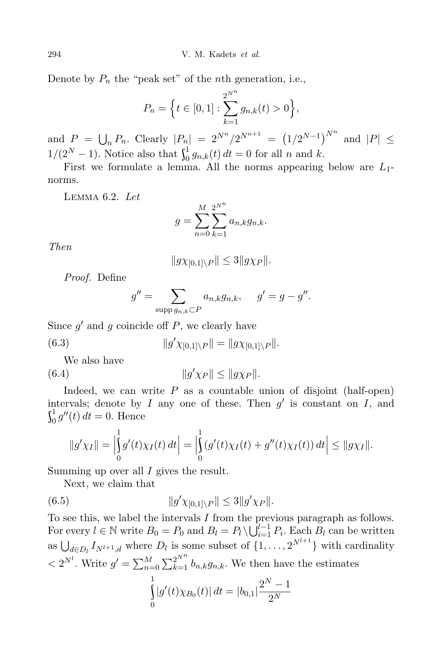Denote by  $P_n$  the "peak set" of the *n*th generation, i.e.,

$$
P_n = \Big\{ t \in [0, 1] : \sum_{k=1}^{2^{N^n}} g_{n,k}(t) > 0 \Big\},\
$$

and  $P = \bigcup_{n} P_n$ . Clearly  $|P_n| = 2^{N^n}/2^{N^{n+1}} = (1/2^{N-1})^{N^n}$  and  $|P| \le$  $1/(2^N-1)$ . Notice also that  $\int_0^1 g_{n,k}$  $\int_{0}^{1} g_{n,k}(t) dt = 0$  for all *n* and *k*.

First we formulate a lemma. All the norms appearing below are *L*1 norms.

Lemma 6.2. *Let*

$$
g = \sum_{n=0}^{M} \sum_{k=1}^{2^{N^n}} a_{n,k} g_{n,k}.
$$

*Then*

$$
||gx_{[0,1]\setminus P}|| \leq 3||gx_P||.
$$

*Proof.* Define

$$
g'' = \sum_{\text{supp } g_{n,k} \subset P} a_{n,k} g_{n,k}, \quad g' = g - g''.
$$

Since  $g'$  and  $g$  coincide off  $P$ , we clearly have

(6.3) 
$$
||g'\chi_{[0,1]\setminus P}|| = ||g\chi_{[0,1]\setminus P}||.
$$

We also have

(6.4) *kg*  $\|g'\chi_P\| \le \|g\chi_P\|$ .

Indeed, we can write *P* as a countable union of disjoint (half-open) intervals; denote by *I* any one of these. Then  $g'$  is constant on *I*, and  $\mathfrak{c}^1$   $\mathfrak{m}$   $\mathfrak{m}$  $\int_0^1 g''(t) dt = 0.$  Hence

$$
||g'\chi_I|| = \left|\int_0^1 g'(t)\chi_I(t) \, dt\right| = \left|\int_0^1 (g'(t)\chi_I(t) + g''(t)\chi_I(t)) \, dt\right| \le ||g\chi_I||.
$$

Summing up over all *I* gives the result.

Next, we claim that

(6.5) 
$$
||g'\chi_{[0,1]\setminus P}|| \leq 3||g'\chi_P||.
$$

To see this, we label the intervals *I* from the previous paragraph as follows. For every  $l \in \mathbb{N}$  write  $B_0 = P_0$  and  $B_l = P_l \setminus \bigcup_{i=1}^{l-1} P_i$ . Each  $B_l$  can be written as  $\bigcup_{d \in D_l} I_{N^{l+1},d}$  where  $D_l$  is some subset of  $\{1, \ldots, 2^{N^{l+1}}\}$  with cardinality  $\langle 2^{N^l} \cdot \text{Write } g' = \sum_{n=0}^M \sum_{k=1}^{2^{N^n}} b_{n,k} g_{n,k}$ . We then have the estimates

$$
\int_{0}^{1} |g'(t)\chi_{B_0}(t)| dt = |b_{0,1}| \frac{2^N - 1}{2^N}
$$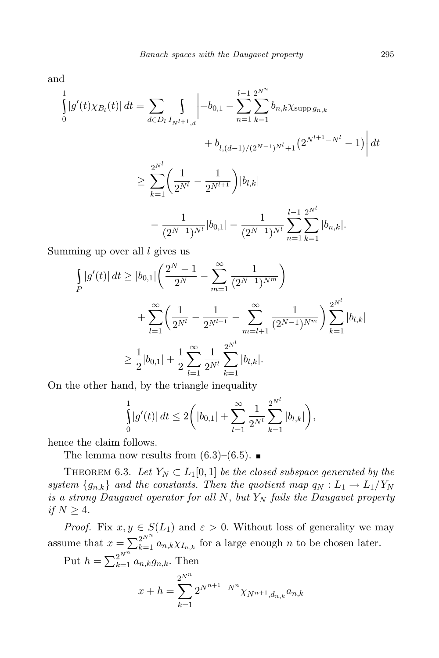and

$$
\int_{0}^{1} |g'(t)\chi_{B_l}(t)| dt = \sum_{d \in D_l} \int_{I_{N^{l+1},d}} \left| -b_{0,1} - \sum_{n=1}^{l-1} \sum_{k=1}^{2^{N^n}} b_{n,k} \chi_{\text{supp } g_{n,k}} + b_{l,(d-1)/(2^{N-1})^{N^l}+1} (2^{N^{l+1}-N^l} - 1) \right| dt
$$
  

$$
\geq \sum_{k=1}^{2^{N^l}} \left( \frac{1}{2^{N^l}} - \frac{1}{2^{N^{l+1}}} \right) |b_{l,k}|
$$

$$
- \frac{1}{(2^{N-1})^{N^l}} |b_{0,1}| - \frac{1}{(2^{N-1})^{N^l}} \sum_{n=1}^{l-1} \sum_{k=1}^{2^{N^l}} |b_{n,k}|.
$$

Summing up over all *l* gives us

$$
\int_{P} |g'(t)| dt \ge |b_{0,1}| \left( \frac{2^{N} - 1}{2^{N}} - \sum_{m=1}^{\infty} \frac{1}{(2^{N-1})^{N^{m}}} \right) \n+ \sum_{l=1}^{\infty} \left( \frac{1}{2^{N^{l}}} - \frac{1}{2^{N^{l+1}}} - \sum_{m=l+1}^{\infty} \frac{1}{(2^{N-1})^{N^{m}}} \right) \sum_{k=1}^{2^{N^{l}}} |b_{l,k}| \n\ge \frac{1}{2} |b_{0,1}| + \frac{1}{2} \sum_{l=1}^{\infty} \frac{1}{2^{N^{l}}} \sum_{k=1}^{2^{N^{l}}} |b_{l,k}|.
$$

On the other hand, by the triangle inequality

$$
\int_{0}^{1} |g'(t)| dt \le 2 \bigg( |b_{0,1}| + \sum_{l=1}^{\infty} \frac{1}{2^{N^l}} \sum_{k=1}^{2^{N^l}} |b_{l,k}| \bigg),
$$

hence the claim follows.

The lemma now results from  $(6.3)$ – $(6.5)$ .

THEOREM 6.3. Let  $Y_N \subset L_1[0,1]$  be the closed subspace generated by the *system*  ${g_{n,k}}$  *and the constants. Then the quotient map*  $q_N : L_1 \to L_1/Y_N$ *is a strong Daugavet operator for all N*, *but Y<sup>N</sup> fails the Daugavet property if*  $N \geq 4$ *.* 

*Proof.* Fix  $x, y \in S(L_1)$  and  $\varepsilon > 0$ . Without loss of generality we may assume that  $x = \sum_{k=1}^{2^{N^n}} a_{n,k} \chi_{I_{n,k}}$  for a large enough *n* to be chosen later.

Put  $h = \sum_{k=1}^{2^{N^n}} a_{n,k} g_{n,k}$ . Then

$$
x + h = \sum_{k=1}^{2^{N^n}} 2^{N^{n+1} - N^n} \chi_{N^{n+1}, d_{n,k}} a_{n,k}
$$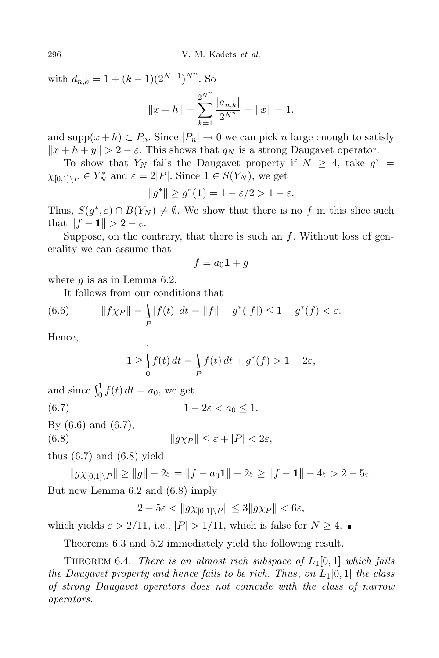with  $d_{n,k} = 1 + (k-1)(2^{N-1})^{N^n}$ . So

$$
||x + h|| = \sum_{k=1}^{2^{N^n}} \frac{|a_{n,k}|}{2^{N^n}} = ||x|| = 1,
$$

and  $\text{supp}(x+h) \subset P_n$ . Since  $|P_n| \to 0$  we can pick *n* large enough to satisfy  $\|x + h + y\| > 2 - \varepsilon$ . This shows that *q<sub>N</sub>* is a strong Daugavet operator.

To show that  $Y_N$  fails the Daugavet property if  $N \geq 4$ , take  $g^* =$  $\chi_{[0,1]\setminus P} \in Y_N^*$  and  $\varepsilon = 2|P|$ . Since  $\mathbf{1} \in S(Y_N)$ , we get

$$
||g^*|| \ge g^*(1) = 1 - \varepsilon/2 > 1 - \varepsilon.
$$

Thus,  $S(g^*, \varepsilon) \cap B(Y_N) \neq \emptyset$ . We show that there is no *f* in this slice such that  $||f - 1|| > 2 - \varepsilon$ .

Suppose, on the contrary, that there is such an *f*. Without loss of generality we can assume that

$$
f = a_0 \mathbf{1} + g
$$

where *g* is as in Lemma 6.2.

It follows from our conditions that

(6.6) 
$$
||f\chi_P|| = \int\limits_P |f(t)| dt = ||f|| - g^*(|f|) \le 1 - g^*(f) < \varepsilon.
$$

Hence,

$$
1 \ge \int_{0}^{1} f(t) dt = \int_{P} f(t) dt + g^{*}(f) > 1 - 2\varepsilon,
$$

and since  $\int_0^1 f(t)$  $\int_{0}^{1} f(t) dt = a_0$ , we get (6.7)  $1 - 2\varepsilon < a_0 < 1$ .

By (6.6) and (6.7),

(6.8)  $\|gx_P\| \leq \varepsilon + |P| < 2\varepsilon,$ 

thus  $(6.7)$  and  $(6.8)$  yield

 $||g\chi_{[0,1]\setminus P}|| \ge ||g|| - 2\varepsilon = ||f - a_0 1|| - 2\varepsilon \ge ||f - 1|| - 4\varepsilon > 2 - 5\varepsilon.$ But now Lemma 6.2 and (6.8) imply

 $2 - 5\varepsilon < ||gx_{[0,1]}\rangle_P || \leq 3||gx_P|| < 6\varepsilon,$ 

which yields  $\varepsilon > 2/11$ , i.e.,  $|P| > 1/11$ , which is false for  $N \geq 4$ .

Theorems 6.3 and 5.2 immediately yield the following result.

**THEOREM** 6.4. *There is* an almost rich subspace of  $L_1[0, 1]$  which fails *the Daugavet property and hence fails to be rich. Thus*, *on L*1[0*,* 1] *the class of strong Daugavet operators does not coincide with the class of narrow operators.*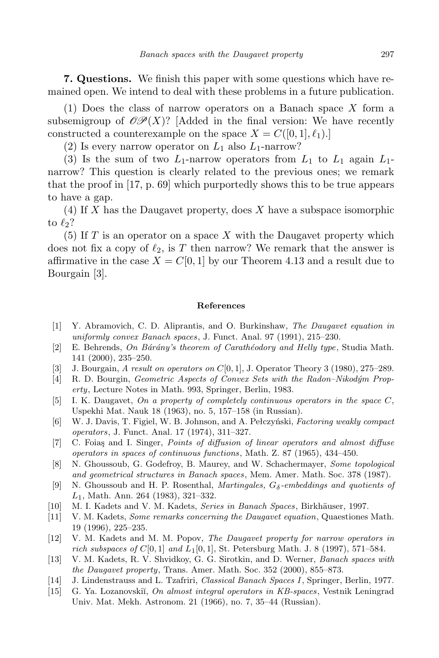**7. Questions.** We finish this paper with some questions which have remained open. We intend to deal with these problems in a future publication.

(1) Does the class of narrow operators on a Banach space *X* form a subsemigroup of  $\mathcal{OP}(X)$ ? [Added in the final version: We have recently constructed a counterexample on the space  $X = C([0, 1], \ell_1).$ 

(2) Is every narrow operator on  $L_1$  also  $L_1$ -narrow?

(3) Is the sum of two  $L_1$ -narrow operators from  $L_1$  to  $L_1$  again  $L_1$ narrow? This question is clearly related to the previous ones; we remark that the proof in [17, p. 69] which purportedly shows this to be true appears to have a gap.

(4) If *X* has the Daugavet property, does *X* have a subspace isomorphic to  $\ell_2$ ?

(5) If *T* is an operator on a space *X* with the Daugavet property which does not fix a copy of  $\ell_2$ , is T then narrow? We remark that the answer is affirmative in the case  $X = C[0, 1]$  by our Theorem 4.13 and a result due to Bourgain [3].

## **References**

- [1] Y. Abramovich, C. D. Aliprantis, and O. Burkinshaw, *The Daugavet equation in uniformly convex Banach spaces*, J. Funct. Anal. 97 (1991), 215–230.
- [2] E. Behrends, *On B´ar´any's theorem of Carath´eodory and Helly type*, Studia Math. 141 (2000), 235–250.
- [3] J. Bourgain, *A result on operators on C*[0*,* 1], J. Operator Theory 3 (1980), 275–289.
- [4] R. D. Bourgin, *Geometric Aspects of Convex Sets with the Radon–Nikod´ym Property*, Lecture Notes in Math. 993, Springer, Berlin, 1983.
- [5] I. K. Daugavet, *On a property of completely continuous operators in the space C*, Uspekhi Mat. Nauk 18 (1963), no. 5, 157–158 (in Russian).
- [6] W. J. Davis, T. Figiel, W. B. Johnson, and A. Pełczyński, *Factoring weakly compact operators*, J. Funct. Anal. 17 (1974), 311–327.
- [7] C. Foia¸s and I. Singer, *Points of diffusion of linear operators and almost diffuse operators in spaces of continuous functions*, Math. Z. 87 (1965), 434–450.
- [8] N. Ghoussoub, G. Godefroy, B. Maurey, and W. Schachermayer, *Some topological and geometrical structures in Banach spaces*, Mem. Amer. Math. Soc. 378 (1987).
- [9] N. Ghoussoub and H. P. Rosenthal, *Martingales, Gδ-embeddings and quotients of L*1, Math. Ann. 264 (1983), 321–332.
- [10] M. I. Kadets and V. M. Kadets, *Series in Banach Spaces*, Birkh¨auser, 1997.
- [11] V. M. Kadets, *Some remarks concerning the Daugavet equation*, Quaestiones Math. 19 (1996), 225–235.
- [12] V. M. Kadets and M. M. Popov, *The Daugavet property for narrow operators in rich subspaces of*  $C[0,1]$  *and*  $L_1[0,1]$ , St. Petersburg Math. J. 8 (1997), 571–584.
- [13] V. M. Kadets, R. V. Shvidkoy, G. G. Sirotkin, and D. Werner, *Banach spaces with the Daugavet property*, Trans. Amer. Math. Soc. 352 (2000), 855–873.
- [14] J. Lindenstrauss and L. Tzafriri, *Classical Banach Spaces I*, Springer, Berlin, 1977.
- [15] G. Ya. Lozanovski˘ı, *On almost integral operators in KB-spaces*, Vestnik Leningrad Univ. Mat. Mekh. Astronom. 21 (1966), no. 7, 35–44 (Russian).